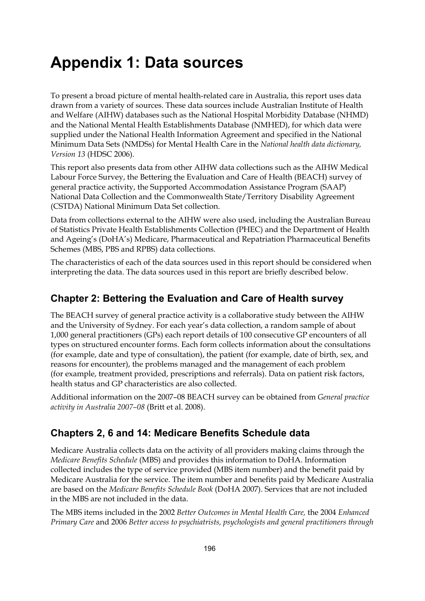# **Appendix 1: Data sources**

To present a broad picture of mental health-related care in Australia, this report uses data drawn from a variety of sources. These data sources include Australian Institute of Health and Welfare (AIHW) databases such as the National Hospital Morbidity Database (NHMD) and the National Mental Health Establishments Database (NMHED), for which data were supplied under the National Health Information Agreement and specified in the National Minimum Data Sets (NMDSs) for Mental Health Care in the *National health data dictionary, Version 13* (HDSC 2006).

This report also presents data from other AIHW data collections such as the AIHW Medical Labour Force Survey, the Bettering the Evaluation and Care of Health (BEACH) survey of general practice activity, the Supported Accommodation Assistance Program (SAAP) National Data Collection and the Commonwealth State/Territory Disability Agreement (CSTDA) National Minimum Data Set collection.

Data from collections external to the AIHW were also used, including the Australian Bureau of Statistics Private Health Establishments Collection (PHEC) and the Department of Health and Ageing's (DoHA's) Medicare, Pharmaceutical and Repatriation Pharmaceutical Benefits Schemes (MBS, PBS and RPBS) data collections.

The characteristics of each of the data sources used in this report should be considered when interpreting the data. The data sources used in this report are briefly described below.

#### **Chapter 2: Bettering the Evaluation and Care of Health survey**

The BEACH survey of general practice activity is a collaborative study between the AIHW and the University of Sydney. For each year's data collection, a random sample of about 1,000 general practitioners (GPs) each report details of 100 consecutive GP encounters of all types on structured encounter forms. Each form collects information about the consultations (for example, date and type of consultation), the patient (for example, date of birth, sex, and reasons for encounter), the problems managed and the management of each problem (for example, treatment provided, prescriptions and referrals). Data on patient risk factors, health status and GP characteristics are also collected.

Additional information on the 2007–08 BEACH survey can be obtained from *General practice activity in Australia 2007–08* (Britt et al. 2008).

#### **Chapters 2, 6 and 14: Medicare Benefits Schedule data**

Medicare Australia collects data on the activity of all providers making claims through the *Medicare Benefits Schedule* (MBS) and provides this information to DoHA. Information collected includes the type of service provided (MBS item number) and the benefit paid by Medicare Australia for the service. The item number and benefits paid by Medicare Australia are based on the *Medicare Benefits Schedule Book* (DoHA 2007). Services that are not included in the MBS are not included in the data.

The MBS items included in the 2002 *Better Outcomes in Mental Health Care,* the 2004 *Enhanced Primary Care* and 2006 *Better access to psychiatrists, psychologists and general practitioners through*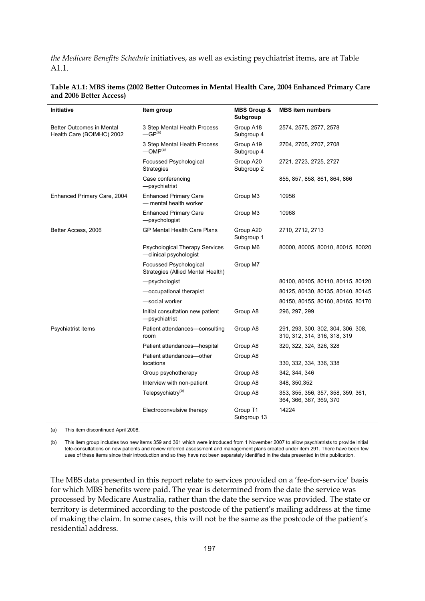*the Medicare Benefits Schedule* initiatives, as well as existing psychiatrist items, are at Table A1.1.

| <b>Initiative</b>                                      | Item group                                                      | <b>MBS Group &amp;</b><br>Subgroup | <b>MBS</b> item numbers                                            |
|--------------------------------------------------------|-----------------------------------------------------------------|------------------------------------|--------------------------------------------------------------------|
| Better Outcomes in Mental<br>Health Care (BOIMHC) 2002 | 3 Step Mental Health Process<br>$-GP(a)$                        | Group A18<br>Subgroup 4            | 2574, 2575, 2577, 2578                                             |
|                                                        | 3 Step Mental Health Process<br>$-MP(a)$                        | Group A19<br>Subgroup 4            | 2704, 2705, 2707, 2708                                             |
|                                                        | Focussed Psychological<br><b>Strategies</b>                     | Group A20<br>Subgroup 2            | 2721, 2723, 2725, 2727                                             |
|                                                        | Case conferencing<br>-psychiatrist                              |                                    | 855, 857, 858, 861, 864, 866                                       |
| Enhanced Primary Care, 2004                            | <b>Enhanced Primary Care</b><br>- mental health worker          | Group M3                           | 10956                                                              |
|                                                        | <b>Enhanced Primary Care</b><br>-psychologist                   | Group M3                           | 10968                                                              |
| Better Access, 2006                                    | <b>GP Mental Health Care Plans</b>                              | Group A20<br>Subgroup 1            | 2710, 2712, 2713                                                   |
|                                                        | <b>Psychological Therapy Services</b><br>-clinical psychologist | Group M6                           | 80000, 80005, 80010, 80015, 80020                                  |
|                                                        | Focussed Psychological<br>Strategies (Allied Mental Health)     | Group M7                           |                                                                    |
|                                                        | -psychologist                                                   |                                    | 80100, 80105, 80110, 80115, 80120                                  |
|                                                        | -occupational therapist                                         |                                    | 80125, 80130, 80135, 80140, 80145                                  |
|                                                        | -social worker                                                  |                                    | 80150, 80155, 80160, 80165, 80170                                  |
|                                                        | Initial consultation new patient<br>-psychiatrist               | Group A8                           | 296, 297, 299                                                      |
| Psychiatrist items                                     | Patient attendances-consulting<br>room                          | Group A8                           | 291, 293, 300, 302, 304, 306, 308,<br>310, 312, 314, 316, 318, 319 |
|                                                        | Patient attendances-hospital                                    | Group A8                           | 320, 322, 324, 326, 328                                            |
|                                                        | Patient attendances-other<br>locations                          | Group A8                           | 330, 332, 334, 336, 338                                            |
|                                                        | Group psychotherapy                                             | Group A8                           | 342, 344, 346                                                      |
|                                                        | Interview with non-patient                                      | Group A8                           | 348, 350, 352                                                      |
|                                                        | Telepsychiatry <sup>(b)</sup>                                   | Group A8                           | 353, 355, 356, 357, 358, 359, 361,<br>364, 366, 367, 369, 370      |
|                                                        | Electroconvulsive therapy                                       | Group T1<br>Subgroup 13            | 14224                                                              |

**Table A1.1: MBS items (2002 Better Outcomes in Mental Health Care, 2004 Enhanced Primary Care and 2006 Better Access)** 

(a) This item discontinued April 2008.

(b) This item group includes two new items 359 and 361 which were introduced from 1 November 2007 to allow psychiatrists to provide initial tele-consultations on new patients and review referred assessment and management plans created under item 291. There have been few uses of these items since their introduction and so they have not been separately identified in the data presented in this publication.

The MBS data presented in this report relate to services provided on a 'fee-for-service' basis for which MBS benefits were paid. The year is determined from the date the service was processed by Medicare Australia, rather than the date the service was provided. The state or territory is determined according to the postcode of the patient's mailing address at the time of making the claim. In some cases, this will not be the same as the postcode of the patient's residential address.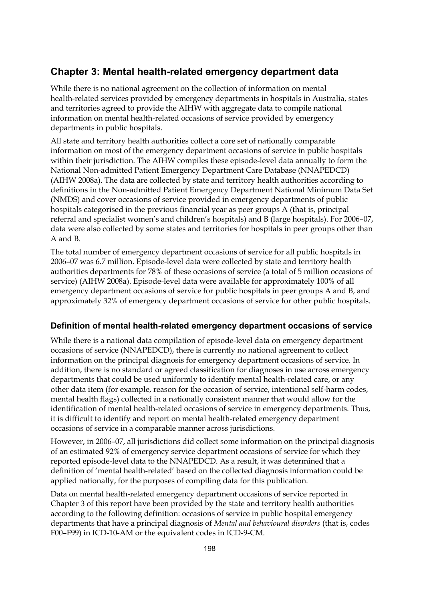### **Chapter 3: Mental health-related emergency department data**

While there is no national agreement on the collection of information on mental health-related services provided by emergency departments in hospitals in Australia, states and territories agreed to provide the AIHW with aggregate data to compile national information on mental health-related occasions of service provided by emergency departments in public hospitals.

All state and territory health authorities collect a core set of nationally comparable information on most of the emergency department occasions of service in public hospitals within their jurisdiction. The AIHW compiles these episode-level data annually to form the National Non-admitted Patient Emergency Department Care Database (NNAPEDCD) (AIHW 2008a). The data are collected by state and territory health authorities according to definitions in the Non-admitted Patient Emergency Department National Minimum Data Set (NMDS) and cover occasions of service provided in emergency departments of public hospitals categorised in the previous financial year as peer groups A (that is, principal referral and specialist women's and children's hospitals) and B (large hospitals). For 2006–07, data were also collected by some states and territories for hospitals in peer groups other than A and B.

The total number of emergency department occasions of service for all public hospitals in 2006–07 was 6.7 million. Episode-level data were collected by state and territory health authorities departments for 78% of these occasions of service (a total of 5 million occasions of service) (AIHW 2008a). Episode-level data were available for approximately 100% of all emergency department occasions of service for public hospitals in peer groups A and B, and approximately 32% of emergency department occasions of service for other public hospitals.

#### **Definition of mental health-related emergency department occasions of service**

While there is a national data compilation of episode-level data on emergency department occasions of service (NNAPEDCD), there is currently no national agreement to collect information on the principal diagnosis for emergency department occasions of service. In addition, there is no standard or agreed classification for diagnoses in use across emergency departments that could be used uniformly to identify mental health-related care, or any other data item (for example, reason for the occasion of service, intentional self-harm codes, mental health flags) collected in a nationally consistent manner that would allow for the identification of mental health-related occasions of service in emergency departments. Thus, it is difficult to identify and report on mental health-related emergency department occasions of service in a comparable manner across jurisdictions.

However, in 2006–07, all jurisdictions did collect some information on the principal diagnosis of an estimated 92% of emergency service department occasions of service for which they reported episode-level data to the NNAPEDCD. As a result, it was determined that a definition of 'mental health-related' based on the collected diagnosis information could be applied nationally, for the purposes of compiling data for this publication.

Data on mental health-related emergency department occasions of service reported in Chapter 3 of this report have been provided by the state and territory health authorities according to the following definition: occasions of service in public hospital emergency departments that have a principal diagnosis of *Mental and behavioural disorders* (that is, codes F00–F99) in ICD-10-AM or the equivalent codes in ICD-9-CM.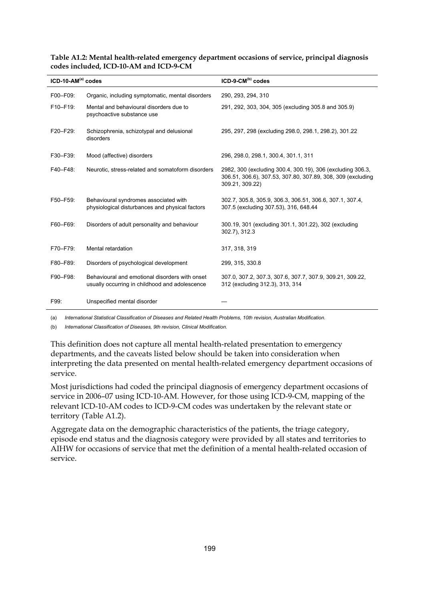| $ICD-10-AM(a) codes$ |                                                                                                  | $ICD-9-CM(b) codes$                                                                                                                          |
|----------------------|--------------------------------------------------------------------------------------------------|----------------------------------------------------------------------------------------------------------------------------------------------|
| F00-F09:             | Organic, including symptomatic, mental disorders                                                 | 290, 293, 294, 310                                                                                                                           |
| F10-F19:             | Mental and behavioural disorders due to<br>psychoactive substance use                            | 291, 292, 303, 304, 305 (excluding 305.8 and 305.9)                                                                                          |
| F20-F29:             | Schizophrenia, schizotypal and delusional<br>disorders                                           | 295, 297, 298 (excluding 298.0, 298.1, 298.2), 301.22                                                                                        |
| F30-F39:             | Mood (affective) disorders                                                                       | 296, 298.0, 298.1, 300.4, 301.1, 311                                                                                                         |
| F40-F48:             | Neurotic, stress-related and somatoform disorders                                                | 2982, 300 (excluding 300.4, 300.19), 306 (excluding 306.3,<br>306.51, 306.6), 307.53, 307.80, 307.89, 308, 309 (excluding<br>309.21, 309.22) |
| F50-F59:             | Behavioural syndromes associated with<br>physiological disturbances and physical factors         | 302.7, 305.8, 305.9, 306.3, 306.51, 306.6, 307.1, 307.4,<br>307.5 (excluding 307.53), 316, 648.44                                            |
| F60-F69:             | Disorders of adult personality and behaviour                                                     | 300.19, 301 (excluding 301.1, 301.22), 302 (excluding<br>302.7), 312.3                                                                       |
| F70-F79:             | Mental retardation                                                                               | 317, 318, 319                                                                                                                                |
| F80-F89:             | Disorders of psychological development                                                           | 299, 315, 330.8                                                                                                                              |
| F90-F98:             | Behavioural and emotional disorders with onset<br>usually occurring in childhood and adolescence | 307.0, 307.2, 307.3, 307.6, 307.7, 307.9, 309.21, 309.22,<br>312 (excluding 312.3), 313, 314                                                 |
| F99:                 | Unspecified mental disorder                                                                      |                                                                                                                                              |

#### **Table A1.2: Mental health-related emergency department occasions of service, principal diagnosis codes included, ICD-10-AM and ICD-9-CM**

(a) *International Statistical Classification of Diseases and Related Health Problems, 10th revision, Australian Modification.* 

(b) *International Classification of Diseases, 9th revision, Clinical Modification.*

This definition does not capture all mental health-related presentation to emergency departments, and the caveats listed below should be taken into consideration when interpreting the data presented on mental health-related emergency department occasions of service.

Most jurisdictions had coded the principal diagnosis of emergency department occasions of service in 2006–07 using ICD-10-AM. However, for those using ICD-9-CM, mapping of the relevant ICD-10-AM codes to ICD-9-CM codes was undertaken by the relevant state or territory (Table A1.2).

Aggregate data on the demographic characteristics of the patients, the triage category, episode end status and the diagnosis category were provided by all states and territories to AIHW for occasions of service that met the definition of a mental health-related occasion of service.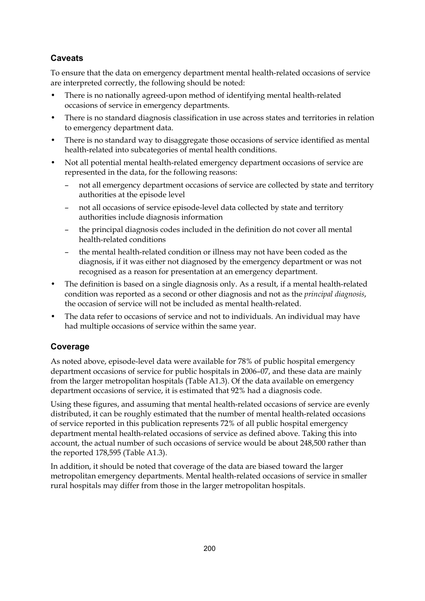#### **Caveats**

To ensure that the data on emergency department mental health-related occasions of service are interpreted correctly, the following should be noted:

- There is no nationally agreed-upon method of identifying mental health-related occasions of service in emergency departments.
- There is no standard diagnosis classification in use across states and territories in relation to emergency department data.
- There is no standard way to disaggregate those occasions of service identified as mental health-related into subcategories of mental health conditions.
- Not all potential mental health-related emergency department occasions of service are represented in the data, for the following reasons:
	- not all emergency department occasions of service are collected by state and territory authorities at the episode level
	- not all occasions of service episode-level data collected by state and territory authorities include diagnosis information
	- the principal diagnosis codes included in the definition do not cover all mental health-related conditions
	- the mental health-related condition or illness may not have been coded as the diagnosis, if it was either not diagnosed by the emergency department or was not recognised as a reason for presentation at an emergency department.
- The definition is based on a single diagnosis only. As a result, if a mental health-related condition was reported as a second or other diagnosis and not as the *principal diagnosis*, the occasion of service will not be included as mental health-related.
- The data refer to occasions of service and not to individuals. An individual may have had multiple occasions of service within the same year.

#### **Coverage**

As noted above, episode-level data were available for 78% of public hospital emergency department occasions of service for public hospitals in 2006–07, and these data are mainly from the larger metropolitan hospitals (Table A1.3). Of the data available on emergency department occasions of service, it is estimated that 92% had a diagnosis code.

Using these figures, and assuming that mental health-related occasions of service are evenly distributed, it can be roughly estimated that the number of mental health-related occasions of service reported in this publication represents 72% of all public hospital emergency department mental health-related occasions of service as defined above. Taking this into account, the actual number of such occasions of service would be about 248,500 rather than the reported 178,595 (Table A1.3).

In addition, it should be noted that coverage of the data are biased toward the larger metropolitan emergency departments. Mental health-related occasions of service in smaller rural hospitals may differ from those in the larger metropolitan hospitals.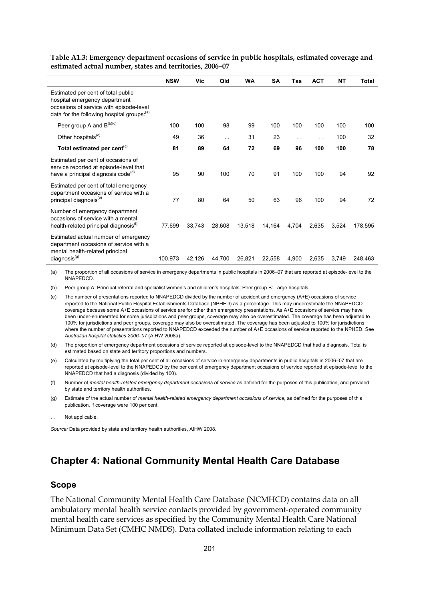|                                                                                                                                                               | <b>NSW</b> | Vic    | Qld       | <b>WA</b> | SΑ     | Tas                  | <b>ACT</b> | NT    | Total   |
|---------------------------------------------------------------------------------------------------------------------------------------------------------------|------------|--------|-----------|-----------|--------|----------------------|------------|-------|---------|
| Estimated per cent of total public<br>hospital emergency department<br>occasions of service with episode-level<br>data for the following hospital groups: (a) |            |        |           |           |        |                      |            |       |         |
| Peer group A and $B^{(b)(c)}$                                                                                                                                 | 100        | 100    | 98        | 99        | 100    | 100                  | 100        | 100   | 100     |
| Other hospitals <sup>(c)</sup>                                                                                                                                | 49         | 36     | $\ddotsc$ | 31        | 23     | $\ddot{\phantom{a}}$ | $\ddotsc$  | 100   | 32      |
| Total estimated per cent <sup>(c)</sup>                                                                                                                       | 81         | 89     | 64        | 72        | 69     | 96                   | 100        | 100   | 78      |
| Estimated per cent of occasions of<br>service reported at episode-level that<br>have a principal diagnosis code <sup>(d)</sup>                                | 95         | 90     | 100       | 70        | 91     | 100                  | 100        | 94    | 92      |
| Estimated per cent of total emergency<br>department occasions of service with a<br>principal diagnosis <sup>(e)</sup>                                         | 77         | 80     | 64        | 50        | 63     | 96                   | 100        | 94    | 72      |
| Number of emergency department<br>occasions of service with a mental<br>health-related principal diagnosis <sup>(1)</sup>                                     | 77,699     | 33.743 | 28,608    | 13,518    | 14,164 | 4,704                | 2,635      | 3,524 | 178,595 |
| Estimated actual number of emergency<br>department occasions of service with a<br>mental health-related principal<br>diagnosis(g)                             | 100,973    | 42,126 | 44,700    | 26,821    | 22.558 | 4,900                | 2,635      | 3,749 | 248,463 |

**Table A1.3: Emergency department occasions of service in public hospitals, estimated coverage and estimated actual number, states and territories, 2006–07**

(a) The proportion of all occasions of service in emergency departments in public hospitals in 2006–07 that are reported at episode-level to the NNAPEDCD.

(b) Peer group A: Principal referral and specialist women's and children's hospitals; Peer group B: Large hospitals.

(c) The number of presentations reported to NNAPEDCD divided by the number of accident and emergency (A+E) occasions of service reported to the National Public Hospital Establishments Database (NPHED) as a percentage. This may underestimate the NNAPEDCD coverage because some A+E occasions of service are for other than emergency presentations. As A+E occasions of service may have been under-enumerated for some jurisdictions and peer groups, coverage may also be overestimated. The coverage has been adjusted to 100% for jurisdictions and peer groups, coverage may also be overestimated. The coverage has been adjusted to 100% for jurisdictions where the number of presentations reported to NNAPEDCD exceeded the number of A+E occasions of service reported to the NPHED. See *Australian hospital statistics 2006–07* (AIHW 2008a).

- (d) The proportion of emergency department occasions of service reported at episode-level to the NNAPEDCD that had a diagnosis. Total is estimated based on state and territory proportions and numbers.
- (e) Calculated by multiplying the total per cent of all occasions of service in emergency departments in public hospitals in 2006–07 that are reported at episode-level to the NNAPEDCD by the per cent of emergency department occasions of service reported at episode-level to the NNAPEDCD that had a diagnosis (divided by 100).
- (f) Number of *mental health-related emergency department occasions of service* as defined for the purposes of this publication, and provided by state and territory health authorities.
- (g) Estimate of the actual number of *mental health-related emergency department occasions of service*, as defined for the purposes of this publication, if coverage were 100 per cent.
- Not applicable

*Source:* Data provided by state and territory health authorities, AIHW 2008.

#### **Chapter 4: National Community Mental Health Care Database**

#### **Scope**

The National Community Mental Health Care Database (NCMHCD) contains data on all ambulatory mental health service contacts provided by government-operated community mental health care services as specified by the Community Mental Health Care National Minimum Data Set (CMHC NMDS). Data collated include information relating to each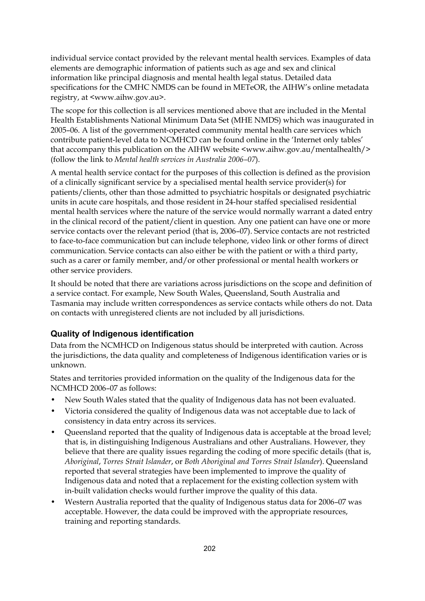individual service contact provided by the relevant mental health services. Examples of data elements are demographic information of patients such as age and sex and clinical information like principal diagnosis and mental health legal status. Detailed data specifications for the CMHC NMDS can be found in METeOR, the AIHW's online metadata registry, at <www.aihw.gov.au>.

The scope for this collection is all services mentioned above that are included in the Mental Health Establishments National Minimum Data Set (MHE NMDS) which was inaugurated in 2005–06. A list of the government-operated community mental health care services which contribute patient-level data to NCMHCD can be found online in the 'Internet only tables' that accompany this publication on the AIHW website <www.aihw.gov.au/mentalhealth/> (follow the link to *Mental health services in Australia 2006–07*).

A mental health service contact for the purposes of this collection is defined as the provision of a clinically significant service by a specialised mental health service provider(s) for patients/clients, other than those admitted to psychiatric hospitals or designated psychiatric units in acute care hospitals, and those resident in 24-hour staffed specialised residential mental health services where the nature of the service would normally warrant a dated entry in the clinical record of the patient/client in question. Any one patient can have one or more service contacts over the relevant period (that is, 2006–07). Service contacts are not restricted to face-to-face communication but can include telephone, video link or other forms of direct communication. Service contacts can also either be with the patient or with a third party, such as a carer or family member, and/or other professional or mental health workers or other service providers*.* 

It should be noted that there are variations across jurisdictions on the scope and definition of a service contact. For example, New South Wales, Queensland, South Australia and Tasmania may include written correspondences as service contacts while others do not. Data on contacts with unregistered clients are not included by all jurisdictions.

#### **Quality of Indigenous identification**

Data from the NCMHCD on Indigenous status should be interpreted with caution. Across the jurisdictions, the data quality and completeness of Indigenous identification varies or is unknown.

States and territories provided information on the quality of the Indigenous data for the NCMHCD 2006–07 as follows:

- New South Wales stated that the quality of Indigenous data has not been evaluated.
- Victoria considered the quality of Indigenous data was not acceptable due to lack of consistency in data entry across its services.
- Queensland reported that the quality of Indigenous data is acceptable at the broad level; that is, in distinguishing Indigenous Australians and other Australians. However, they believe that there are quality issues regarding the coding of more specific details (that is, *Aboriginal*, *Torres Strait Islander*, or *Both Aboriginal and Torres Strait Islander*). Queensland reported that several strategies have been implemented to improve the quality of Indigenous data and noted that a replacement for the existing collection system with in-built validation checks would further improve the quality of this data.
- Western Australia reported that the quality of Indigenous status data for 2006–07 was acceptable. However, the data could be improved with the appropriate resources, training and reporting standards.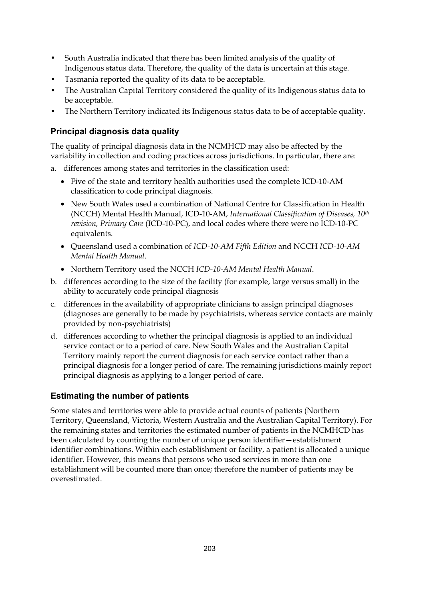- South Australia indicated that there has been limited analysis of the quality of Indigenous status data. Therefore, the quality of the data is uncertain at this stage.
- Tasmania reported the quality of its data to be acceptable.
- The Australian Capital Territory considered the quality of its Indigenous status data to be acceptable.
- The Northern Territory indicated its Indigenous status data to be of acceptable quality.

#### **Principal diagnosis data quality**

The quality of principal diagnosis data in the NCMHCD may also be affected by the variability in collection and coding practices across jurisdictions. In particular, there are:

- a. differences among states and territories in the classification used:
	- Five of the state and territory health authorities used the complete ICD-10-AM classification to code principal diagnosis.
	- New South Wales used a combination of National Centre for Classification in Health (NCCH) Mental Health Manual, ICD-10-AM, *International Classification of Diseases, 10th revision, Primary Care* (ICD-10-PC), and local codes where there were no ICD-10-PC equivalents.
	- Queensland used a combination of *ICD-10-AM Fifth Edition* and NCCH *ICD-10-AM Mental Health Manual*.
	- Northern Territory used the NCCH *ICD-10-AM Mental Health Manual*.
- b. differences according to the size of the facility (for example, large versus small) in the ability to accurately code principal diagnosis
- c. differences in the availability of appropriate clinicians to assign principal diagnoses (diagnoses are generally to be made by psychiatrists, whereas service contacts are mainly provided by non-psychiatrists)
- d. differences according to whether the principal diagnosis is applied to an individual service contact or to a period of care. New South Wales and the Australian Capital Territory mainly report the current diagnosis for each service contact rather than a principal diagnosis for a longer period of care. The remaining jurisdictions mainly report principal diagnosis as applying to a longer period of care.

#### **Estimating the number of patients**

Some states and territories were able to provide actual counts of patients (Northern Territory, Queensland, Victoria, Western Australia and the Australian Capital Territory). For the remaining states and territories the estimated number of patients in the NCMHCD has been calculated by counting the number of unique person identifier—establishment identifier combinations. Within each establishment or facility, a patient is allocated a unique identifier. However, this means that persons who used services in more than one establishment will be counted more than once; therefore the number of patients may be overestimated.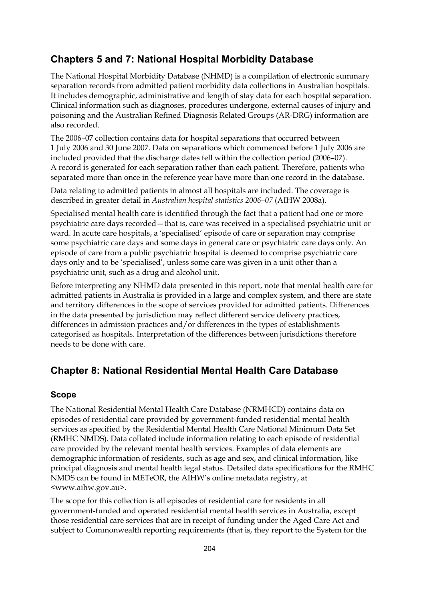#### **Chapters 5 and 7: National Hospital Morbidity Database**

The National Hospital Morbidity Database (NHMD) is a compilation of electronic summary separation records from admitted patient morbidity data collections in Australian hospitals. It includes demographic, administrative and length of stay data for each hospital separation. Clinical information such as diagnoses, procedures undergone, external causes of injury and poisoning and the Australian Refined Diagnosis Related Groups (AR-DRG) information are also recorded.

The 2006–07 collection contains data for hospital separations that occurred between 1 July 2006 and 30 June 2007. Data on separations which commenced before 1 July 2006 are included provided that the discharge dates fell within the collection period (2006–07). A record is generated for each separation rather than each patient. Therefore, patients who separated more than once in the reference year have more than one record in the database.

Data relating to admitted patients in almost all hospitals are included. The coverage is described in greater detail in *Australian hospital statistics 2006–07* (AIHW 2008a).

Specialised mental health care is identified through the fact that a patient had one or more psychiatric care days recorded—that is, care was received in a specialised psychiatric unit or ward. In acute care hospitals, a 'specialised' episode of care or separation may comprise some psychiatric care days and some days in general care or psychiatric care days only. An episode of care from a public psychiatric hospital is deemed to comprise psychiatric care days only and to be 'specialised', unless some care was given in a unit other than a psychiatric unit, such as a drug and alcohol unit.

Before interpreting any NHMD data presented in this report, note that mental health care for admitted patients in Australia is provided in a large and complex system, and there are state and territory differences in the scope of services provided for admitted patients. Differences in the data presented by jurisdiction may reflect different service delivery practices, differences in admission practices and/or differences in the types of establishments categorised as hospitals. Interpretation of the differences between jurisdictions therefore needs to be done with care.

## **Chapter 8: National Residential Mental Health Care Database**

#### **Scope**

The National Residential Mental Health Care Database (NRMHCD) contains data on episodes of residential care provided by government-funded residential mental health services as specified by the Residential Mental Health Care National Minimum Data Set (RMHC NMDS). Data collated include information relating to each episode of residential care provided by the relevant mental health services. Examples of data elements are demographic information of residents, such as age and sex, and clinical information, like principal diagnosis and mental health legal status. Detailed data specifications for the RMHC NMDS can be found in METeOR, the AIHW's online metadata registry, at <www.aihw.gov.au>.

The scope for this collection is all episodes of residential care for residents in all government-funded and operated residential mental health services in Australia, except those residential care services that are in receipt of funding under the Aged Care Act and subject to Commonwealth reporting requirements (that is, they report to the System for the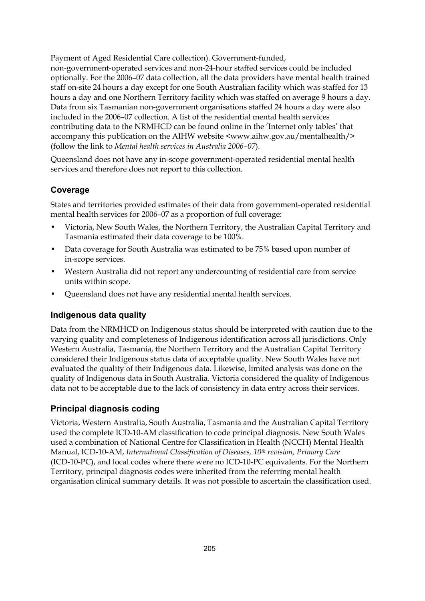Payment of Aged Residential Care collection). Government-funded,

non-government-operated services and non-24-hour staffed services could be included optionally. For the 2006–07 data collection, all the data providers have mental health trained staff on-site 24 hours a day except for one South Australian facility which was staffed for 13 hours a day and one Northern Territory facility which was staffed on average 9 hours a day. Data from six Tasmanian non-government organisations staffed 24 hours a day were also included in the 2006–07 collection. A list of the residential mental health services contributing data to the NRMHCD can be found online in the 'Internet only tables' that accompany this publication on the AIHW website <www.aihw.gov.au/mentalhealth/> (follow the link to *Mental health services in Australia 2006–07*).

Queensland does not have any in-scope government-operated residential mental health services and therefore does not report to this collection.

#### **Coverage**

States and territories provided estimates of their data from government-operated residential mental health services for 2006–07 as a proportion of full coverage:

- Victoria, New South Wales, the Northern Territory, the Australian Capital Territory and Tasmania estimated their data coverage to be 100%.
- Data coverage for South Australia was estimated to be 75% based upon number of in-scope services.
- Western Australia did not report any undercounting of residential care from service units within scope.
- Queensland does not have any residential mental health services.

#### **Indigenous data quality**

Data from the NRMHCD on Indigenous status should be interpreted with caution due to the varying quality and completeness of Indigenous identification across all jurisdictions. Only Western Australia, Tasmania, the Northern Territory and the Australian Capital Territory considered their Indigenous status data of acceptable quality. New South Wales have not evaluated the quality of their Indigenous data. Likewise, limited analysis was done on the quality of Indigenous data in South Australia. Victoria considered the quality of Indigenous data not to be acceptable due to the lack of consistency in data entry across their services.

#### **Principal diagnosis coding**

Victoria, Western Australia, South Australia, Tasmania and the Australian Capital Territory used the complete ICD-10-AM classification to code principal diagnosis. New South Wales used a combination of National Centre for Classification in Health (NCCH) Mental Health Manual, ICD-10-AM, *International Classification of Diseases, 10th revision, Primary Care*  (ICD-10-PC), and local codes where there were no ICD-10-PC equivalents. For the Northern Territory, principal diagnosis codes were inherited from the referring mental health organisation clinical summary details. It was not possible to ascertain the classification used.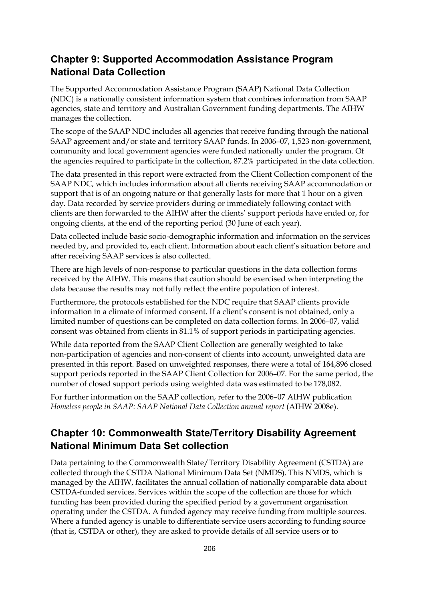## **Chapter 9: Supported Accommodation Assistance Program National Data Collection**

The Supported Accommodation Assistance Program (SAAP) National Data Collection (NDC) is a nationally consistent information system that combines information from SAAP agencies, state and territory and Australian Government funding departments. The AIHW manages the collection.

The scope of the SAAP NDC includes all agencies that receive funding through the national SAAP agreement and/or state and territory SAAP funds. In 2006–07, 1,523 non-government, community and local government agencies were funded nationally under the program. Of the agencies required to participate in the collection, 87.2% participated in the data collection.

The data presented in this report were extracted from the Client Collection component of the SAAP NDC, which includes information about all clients receiving SAAP accommodation or support that is of an ongoing nature or that generally lasts for more that 1 hour on a given day. Data recorded by service providers during or immediately following contact with clients are then forwarded to the AIHW after the clients' support periods have ended or, for ongoing clients, at the end of the reporting period (30 June of each year).

Data collected include basic socio-demographic information and information on the services needed by, and provided to, each client. Information about each client's situation before and after receiving SAAP services is also collected.

There are high levels of non-response to particular questions in the data collection forms received by the AIHW. This means that caution should be exercised when interpreting the data because the results may not fully reflect the entire population of interest.

Furthermore, the protocols established for the NDC require that SAAP clients provide information in a climate of informed consent. If a client's consent is not obtained, only a limited number of questions can be completed on data collection forms. In 2006–07, valid consent was obtained from clients in 81.1% of support periods in participating agencies.

While data reported from the SAAP Client Collection are generally weighted to take non-participation of agencies and non-consent of clients into account, unweighted data are presented in this report. Based on unweighted responses, there were a total of 164,896 closed support periods reported in the SAAP Client Collection for 2006–07. For the same period, the number of closed support periods using weighted data was estimated to be 178,082.

For further information on the SAAP collection, refer to the 2006–07 AIHW publication *Homeless people in SAAP: SAAP National Data Collection annual report* (AIHW 2008e).

# **Chapter 10: Commonwealth State/Territory Disability Agreement National Minimum Data Set collection**

Data pertaining to the Commonwealth State/Territory Disability Agreement (CSTDA) are collected through the CSTDA National Minimum Data Set (NMDS). This NMDS, which is managed by the AIHW, facilitates the annual collation of nationally comparable data about CSTDA-funded services. Services within the scope of the collection are those for which funding has been provided during the specified period by a government organisation operating under the CSTDA. A funded agency may receive funding from multiple sources. Where a funded agency is unable to differentiate service users according to funding source (that is, CSTDA or other), they are asked to provide details of all service users or to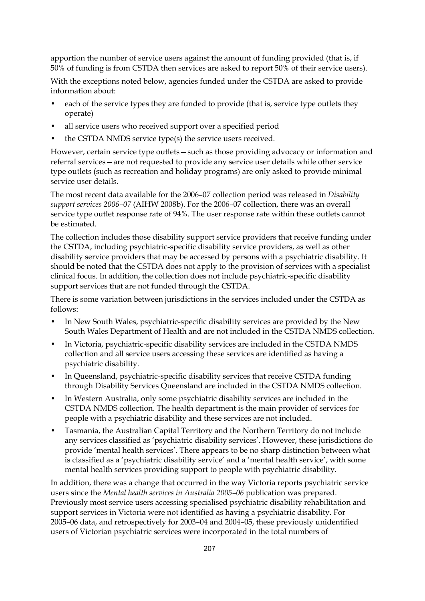apportion the number of service users against the amount of funding provided (that is, if 50% of funding is from CSTDA then services are asked to report 50% of their service users).

With the exceptions noted below, agencies funded under the CSTDA are asked to provide information about:

- each of the service types they are funded to provide (that is, service type outlets they operate)
- all service users who received support over a specified period
- the CSTDA NMDS service type(s) the service users received.

However, certain service type outlets—such as those providing advocacy or information and referral services—are not requested to provide any service user details while other service type outlets (such as recreation and holiday programs) are only asked to provide minimal service user details.

The most recent data available for the 2006–07 collection period was released in *Disability support services 2006–07* (AIHW 2008b). For the 2006–07 collection, there was an overall service type outlet response rate of 94%. The user response rate within these outlets cannot be estimated.

The collection includes those disability support service providers that receive funding under the CSTDA, including psychiatric-specific disability service providers, as well as other disability service providers that may be accessed by persons with a psychiatric disability. It should be noted that the CSTDA does not apply to the provision of services with a specialist clinical focus. In addition, the collection does not include psychiatric-specific disability support services that are not funded through the CSTDA.

There is some variation between jurisdictions in the services included under the CSTDA as follows:

- In New South Wales, psychiatric-specific disability services are provided by the New South Wales Department of Health and are not included in the CSTDA NMDS collection.
- In Victoria, psychiatric-specific disability services are included in the CSTDA NMDS collection and all service users accessing these services are identified as having a psychiatric disability.
- In Queensland, psychiatric-specific disability services that receive CSTDA funding through Disability Services Queensland are included in the CSTDA NMDS collection.
- In Western Australia, only some psychiatric disability services are included in the CSTDA NMDS collection. The health department is the main provider of services for people with a psychiatric disability and these services are not included.
- Tasmania, the Australian Capital Territory and the Northern Territory do not include any services classified as 'psychiatric disability services'. However, these jurisdictions do provide 'mental health services'. There appears to be no sharp distinction between what is classified as a 'psychiatric disability service' and a 'mental health service', with some mental health services providing support to people with psychiatric disability.

In addition, there was a change that occurred in the way Victoria reports psychiatric service users since the *Mental health services in Australia 2005–06* publication was prepared. Previously most service users accessing specialised psychiatric disability rehabilitation and support services in Victoria were not identified as having a psychiatric disability. For 2005–06 data, and retrospectively for 2003–04 and 2004–05, these previously unidentified users of Victorian psychiatric services were incorporated in the total numbers of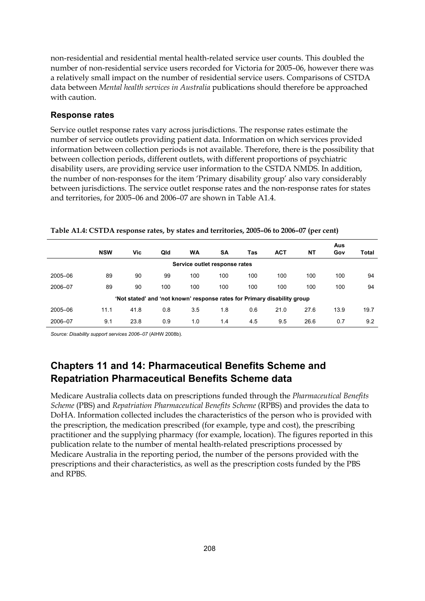non-residential and residential mental health-related service user counts. This doubled the number of non-residential service users recorded for Victoria for 2005–06, however there was a relatively small impact on the number of residential service users. Comparisons of CSTDA data between *Mental health services in Australia* publications should therefore be approached with caution.

#### **Response rates**

Service outlet response rates vary across jurisdictions. The response rates estimate the number of service outlets providing patient data. Information on which services provided information between collection periods is not available. Therefore, there is the possibility that between collection periods, different outlets, with different proportions of psychiatric disability users, are providing service user information to the CSTDA NMDS. In addition, the number of non-responses for the item 'Primary disability group' also vary considerably between jurisdictions. The service outlet response rates and the non-response rates for states and territories, for 2005–06 and 2006–07 are shown in Table A1.4.

|                                                                          | <b>NSW</b> | Vic  | Qld | WA                            | SΑ  | Tas | <b>ACT</b> | NΤ   | Aus<br>Gov | <b>Total</b> |
|--------------------------------------------------------------------------|------------|------|-----|-------------------------------|-----|-----|------------|------|------------|--------------|
|                                                                          |            |      |     | Service outlet response rates |     |     |            |      |            |              |
| 2005-06                                                                  | 89         | 90   | 99  | 100                           | 100 | 100 | 100        | 100  | 100        | 94           |
| 2006-07                                                                  | 89         | 90   | 100 | 100                           | 100 | 100 | 100        | 100  | 100        | 94           |
| 'Not stated' and 'not known' response rates for Primary disability group |            |      |     |                               |     |     |            |      |            |              |
| 2005-06                                                                  | 11.1       | 41.8 | 0.8 | 3.5                           | 1.8 | 0.6 | 21.0       | 27.6 | 13.9       | 19.7         |
| 2006-07                                                                  | 9.1        | 23.8 | 0.9 | 1.0                           | 1.4 | 4.5 | 9.5        | 26.6 | 0.7        | 9.2          |

**Table A1.4: CSTDA response rates, by states and territories, 2005–06 to 2006–07 (per cent)** 

*Source: Disability support services 2006–07* (AIHW 2008b).

# **Chapters 11 and 14: Pharmaceutical Benefits Scheme and Repatriation Pharmaceutical Benefits Scheme data**

Medicare Australia collects data on prescriptions funded through the *Pharmaceutical Benefits Scheme* (PBS) and *Repatriation Pharmaceutical Benefits Scheme* (RPBS) and provides the data to DoHA. Information collected includes the characteristics of the person who is provided with the prescription, the medication prescribed (for example, type and cost), the prescribing practitioner and the supplying pharmacy (for example, location). The figures reported in this publication relate to the number of mental health-related prescriptions processed by Medicare Australia in the reporting period, the number of the persons provided with the prescriptions and their characteristics, as well as the prescription costs funded by the PBS and RPBS.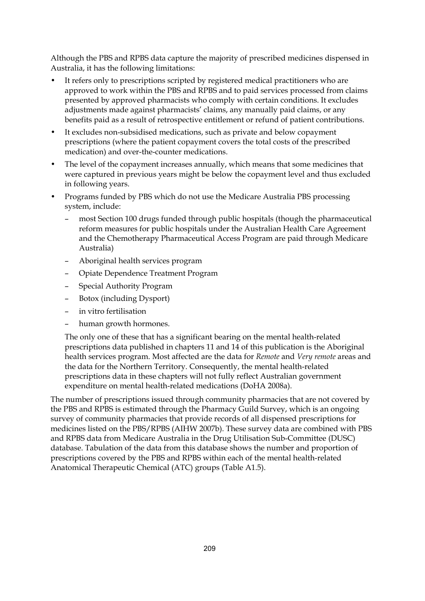Although the PBS and RPBS data capture the majority of prescribed medicines dispensed in Australia, it has the following limitations:

- It refers only to prescriptions scripted by registered medical practitioners who are approved to work within the PBS and RPBS and to paid services processed from claims presented by approved pharmacists who comply with certain conditions. It excludes adjustments made against pharmacists' claims, any manually paid claims, or any benefits paid as a result of retrospective entitlement or refund of patient contributions.
- It excludes non-subsidised medications, such as private and below copayment prescriptions (where the patient copayment covers the total costs of the prescribed medication) and over-the-counter medications.
- The level of the copayment increases annually, which means that some medicines that were captured in previous years might be below the copayment level and thus excluded in following years.
- Programs funded by PBS which do not use the Medicare Australia PBS processing system, include:
	- most Section 100 drugs funded through public hospitals (though the pharmaceutical reform measures for public hospitals under the Australian Health Care Agreement and the Chemotherapy Pharmaceutical Access Program are paid through Medicare Australia)
	- Aboriginal health services program
	- Opiate Dependence Treatment Program
	- Special Authority Program
	- Botox (including Dysport)
	- in vitro fertilisation
	- human growth hormones.

The only one of these that has a significant bearing on the mental health-related prescriptions data published in chapters 11 and 14 of this publication is the Aboriginal health services program. Most affected are the data for *Remote* and *Very remote* areas and the data for the Northern Territory. Consequently, the mental health-related prescriptions data in these chapters will not fully reflect Australian government expenditure on mental health-related medications (DoHA 2008a).

The number of prescriptions issued through community pharmacies that are not covered by the PBS and RPBS is estimated through the Pharmacy Guild Survey, which is an ongoing survey of community pharmacies that provide records of all dispensed prescriptions for medicines listed on the PBS/RPBS (AIHW 2007b). These survey data are combined with PBS and RPBS data from Medicare Australia in the Drug Utilisation Sub-Committee (DUSC) database. Tabulation of the data from this database shows the number and proportion of prescriptions covered by the PBS and RPBS within each of the mental health-related Anatomical Therapeutic Chemical (ATC) groups (Table A1.5).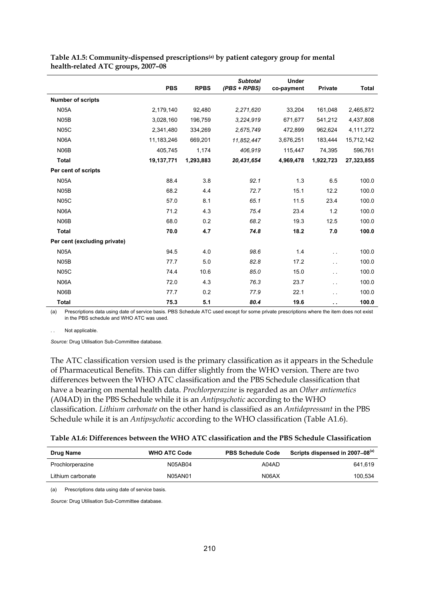|                              | <b>PBS</b> | <b>RPBS</b> | <b>Subtotal</b><br>$(PBS + RPBS)$ | <b>Under</b><br>co-payment | <b>Private</b> | <b>Total</b> |
|------------------------------|------------|-------------|-----------------------------------|----------------------------|----------------|--------------|
| <b>Number of scripts</b>     |            |             |                                   |                            |                |              |
| <b>N05A</b>                  | 2,179,140  | 92,480      | 2,271,620                         | 33,204                     | 161,048        | 2,465,872    |
| N <sub>05</sub> B            | 3,028,160  | 196,759     | 3.224,919                         | 671,677                    | 541,212        | 4,437,808    |
| <b>N05C</b>                  | 2,341,480  | 334,269     | 2,675,749                         | 472,899                    | 962,624        | 4,111,272    |
| <b>N06A</b>                  | 11,183,246 | 669,201     | 11,852,447                        | 3,676,251                  | 183,444        | 15,712,142   |
| N <sub>06</sub> B            | 405,745    | 1,174       | 406,919                           | 115,447                    | 74,395         | 596,761      |
| <b>Total</b>                 | 19,137,771 | 1,293,883   | 20,431,654                        | 4,969,478                  | 1,922,723      | 27,323,855   |
| Per cent of scripts          |            |             |                                   |                            |                |              |
| <b>N05A</b>                  | 88.4       | 3.8         | 92.1                              | 1.3                        | 6.5            | 100.0        |
| N <sub>05</sub> B            | 68.2       | 4.4         | 72.7                              | 15.1                       | 12.2           | 100.0        |
| <b>N05C</b>                  | 57.0       | 8.1         | 65.1                              | 11.5                       | 23.4           | 100.0        |
| <b>N06A</b>                  | 71.2       | 4.3         | 75.4                              | 23.4                       | 1.2            | 100.0        |
| N06B                         | 68.0       | 0.2         | 68.2                              | 19.3                       | 12.5           | 100.0        |
| <b>Total</b>                 | 70.0       | 4.7         | 74.8                              | 18.2                       | 7.0            | 100.0        |
| Per cent (excluding private) |            |             |                                   |                            |                |              |
| <b>N05A</b>                  | 94.5       | 4.0         | 98.6                              | 1.4                        | $\sim$         | 100.0        |
| N <sub>05</sub> B            | 77.7       | 5.0         | 82.8                              | 17.2                       | $\sim$         | 100.0        |
| <b>N05C</b>                  | 74.4       | 10.6        | 85.0                              | 15.0                       | i.             | 100.0        |
| <b>N06A</b>                  | 72.0       | 4.3         | 76.3                              | 23.7                       | $\sim$ $\sim$  | 100.0        |
| N06B                         | 77.7       | 0.2         | 77.9                              | 22.1                       | $\sim$ $\sim$  | 100.0        |
| Total                        | 75.3       | 5.1         | 80.4                              | 19.6                       | $\sim$         | 100.0        |

**Table A1.5: Community-dispensed prescriptions(a) by patient category group for mental health-related ATC groups, 2007–08** 

(a) Prescriptions data using date of service basis. PBS Schedule ATC used except for some private prescriptions where the item does not exist in the PBS schedule and WHO ATC was used.

Not applicable.

*Source:* Drug Utilisation Sub-Committee database.

The ATC classification version used is the primary classification as it appears in the Schedule of Pharmaceutical Benefits. This can differ slightly from the WHO version. There are two differences between the WHO ATC classification and the PBS Schedule classification that have a bearing on mental health data. *Prochlorperazine* is regarded as an *Other antiemetics* (A04AD) in the PBS Schedule while it is an *Antipsychotic* according to the WHO classification. *Lithium carbonate* on the other hand is classified as an *Antidepressant* in the PBS Schedule while it is an *Antipsychotic* according to the WHO classification (Table A1.6).

| Drug Name         | <b>WHO ATC Code</b> | <b>PBS Schedule Code</b> | Scripts dispensed in 2007–08 <sup>(a)</sup> |
|-------------------|---------------------|--------------------------|---------------------------------------------|
| Prochlorperazine  | N05AB04             | A04AD                    | 641.619                                     |
| Lithium carbonate | N05AN01             | N06AX                    | 100.534                                     |

(a) Prescriptions data using date of service basis.

*Source:* Drug Utilisation Sub-Committee database.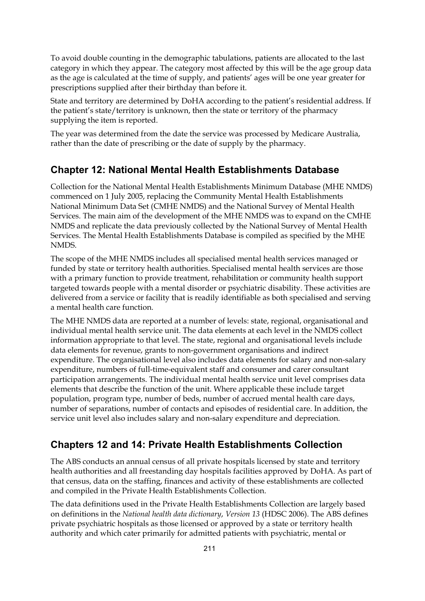To avoid double counting in the demographic tabulations, patients are allocated to the last category in which they appear. The category most affected by this will be the age group data as the age is calculated at the time of supply, and patients' ages will be one year greater for prescriptions supplied after their birthday than before it.

State and territory are determined by DoHA according to the patient's residential address. If the patient's state/territory is unknown, then the state or territory of the pharmacy supplying the item is reported.

The year was determined from the date the service was processed by Medicare Australia, rather than the date of prescribing or the date of supply by the pharmacy.

### **Chapter 12: National Mental Health Establishments Database**

Collection for the National Mental Health Establishments Minimum Database (MHE NMDS) commenced on 1 July 2005, replacing the Community Mental Health Establishments National Minimum Data Set (CMHE NMDS) and the National Survey of Mental Health Services. The main aim of the development of the MHE NMDS was to expand on the CMHE NMDS and replicate the data previously collected by the National Survey of Mental Health Services. The Mental Health Establishments Database is compiled as specified by the MHE NMDS.

The scope of the MHE NMDS includes all specialised mental health services managed or funded by state or territory health authorities. Specialised mental health services are those with a primary function to provide treatment, rehabilitation or community health support targeted towards people with a mental disorder or psychiatric disability. These activities are delivered from a service or facility that is readily identifiable as both specialised and serving a mental health care function.

The MHE NMDS data are reported at a number of levels: state, regional, organisational and individual mental health service unit. The data elements at each level in the NMDS collect information appropriate to that level. The state, regional and organisational levels include data elements for revenue, grants to non-government organisations and indirect expenditure. The organisational level also includes data elements for salary and non-salary expenditure, numbers of full-time-equivalent staff and consumer and carer consultant participation arrangements. The individual mental health service unit level comprises data elements that describe the function of the unit. Where applicable these include target population, program type, number of beds, number of accrued mental health care days, number of separations, number of contacts and episodes of residential care. In addition, the service unit level also includes salary and non-salary expenditure and depreciation.

#### **Chapters 12 and 14: Private Health Establishments Collection**

The ABS conducts an annual census of all private hospitals licensed by state and territory health authorities and all freestanding day hospitals facilities approved by DoHA. As part of that census, data on the staffing, finances and activity of these establishments are collected and compiled in the Private Health Establishments Collection.

The data definitions used in the Private Health Establishments Collection are largely based on definitions in the *National health data dictionary*, *Version 13* (HDSC 2006). The ABS defines private psychiatric hospitals as those licensed or approved by a state or territory health authority and which cater primarily for admitted patients with psychiatric, mental or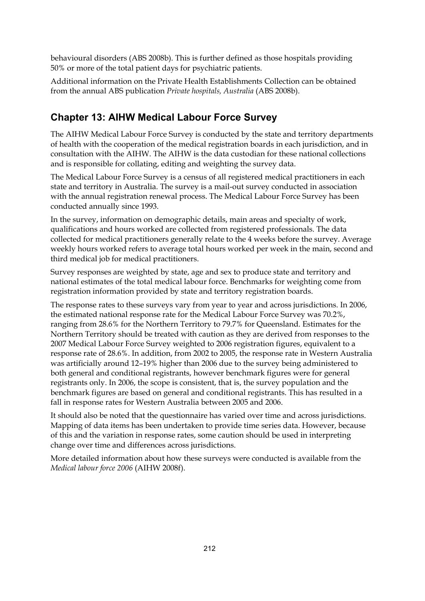behavioural disorders (ABS 2008b). This is further defined as those hospitals providing 50% or more of the total patient days for psychiatric patients.

Additional information on the Private Health Establishments Collection can be obtained from the annual ABS publication *Private hospitals, Australia* (ABS 2008b).

### **Chapter 13: AIHW Medical Labour Force Survey**

The AIHW Medical Labour Force Survey is conducted by the state and territory departments of health with the cooperation of the medical registration boards in each jurisdiction, and in consultation with the AIHW. The AIHW is the data custodian for these national collections and is responsible for collating, editing and weighting the survey data.

The Medical Labour Force Survey is a census of all registered medical practitioners in each state and territory in Australia. The survey is a mail-out survey conducted in association with the annual registration renewal process. The Medical Labour Force Survey has been conducted annually since 1993.

In the survey, information on demographic details, main areas and specialty of work, qualifications and hours worked are collected from registered professionals. The data collected for medical practitioners generally relate to the 4 weeks before the survey. Average weekly hours worked refers to average total hours worked per week in the main, second and third medical job for medical practitioners.

Survey responses are weighted by state, age and sex to produce state and territory and national estimates of the total medical labour force. Benchmarks for weighting come from registration information provided by state and territory registration boards.

The response rates to these surveys vary from year to year and across jurisdictions. In 2006, the estimated national response rate for the Medical Labour Force Survey was 70.2%, ranging from 28.6% for the Northern Territory to 79.7% for Queensland. Estimates for the Northern Territory should be treated with caution as they are derived from responses to the 2007 Medical Labour Force Survey weighted to 2006 registration figures, equivalent to a response rate of 28.6%. In addition, from 2002 to 2005, the response rate in Western Australia was artificially around 12–19% higher than 2006 due to the survey being administered to both general and conditional registrants, however benchmark figures were for general registrants only. In 2006, the scope is consistent, that is, the survey population and the benchmark figures are based on general and conditional registrants. This has resulted in a fall in response rates for Western Australia between 2005 and 2006.

It should also be noted that the questionnaire has varied over time and across jurisdictions. Mapping of data items has been undertaken to provide time series data. However, because of this and the variation in response rates, some caution should be used in interpreting change over time and differences across jurisdictions.

More detailed information about how these surveys were conducted is available from the *Medical labour force 2006* (AIHW 2008f).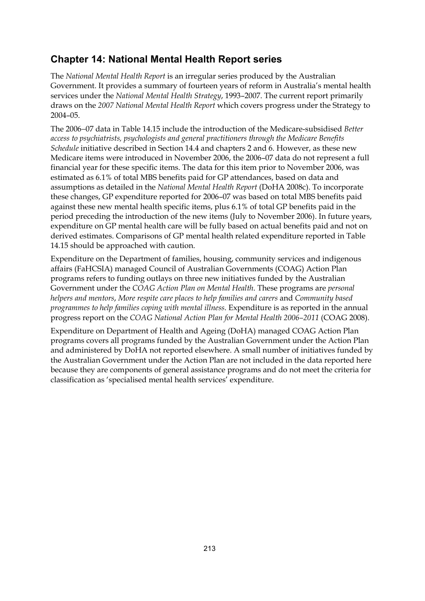## **Chapter 14: National Mental Health Report series**

The *National Mental Health Report* is an irregular series produced by the Australian Government. It provides a summary of fourteen years of reform in Australia's mental health services under the *National Mental Health Strategy*, 1993–2007. The current report primarily draws on the *2007 National Mental Health Report* which covers progress under the Strategy to 2004–05.

The 2006−07 data in Table 14.15 include the introduction of the Medicare-subsidised *Better access to psychiatrists, psychologists and general practitioners through the Medicare Benefits Schedule* initiative described in Section 14.4 and chapters 2 and 6. However, as these new Medicare items were introduced in November 2006, the 2006–07 data do not represent a full financial year for these specific items. The data for this item prior to November 2006, was estimated as 6.1% of total MBS benefits paid for GP attendances, based on data and assumptions as detailed in the *National Mental Health Report* (DoHA 2008c). To incorporate these changes, GP expenditure reported for 2006–07 was based on total MBS benefits paid against these new mental health specific items, plus 6.1% of total GP benefits paid in the period preceding the introduction of the new items (July to November 2006). In future years, expenditure on GP mental health care will be fully based on actual benefits paid and not on derived estimates. Comparisons of GP mental health related expenditure reported in Table 14.15 should be approached with caution.

Expenditure on the Department of families, housing, community services and indigenous affairs (FaHCSIA) managed Council of Australian Governments (COAG) Action Plan programs refers to funding outlays on three new initiatives funded by the Australian Government under the *COAG Action Plan on Mental Health*. These programs are *personal helpers and mentors*, *More respite care places to help families and carers* and *Community based programmes to help families coping with mental illness*. Expenditure is as reported in the annual progress report on the *COAG National Action Plan for Mental Health 2006–2011* (COAG 2008).

Expenditure on Department of Health and Ageing (DoHA) managed COAG Action Plan programs covers all programs funded by the Australian Government under the Action Plan and administered by DoHA not reported elsewhere. A small number of initiatives funded by the Australian Government under the Action Plan are not included in the data reported here because they are components of general assistance programs and do not meet the criteria for classification as 'specialised mental health services' expenditure.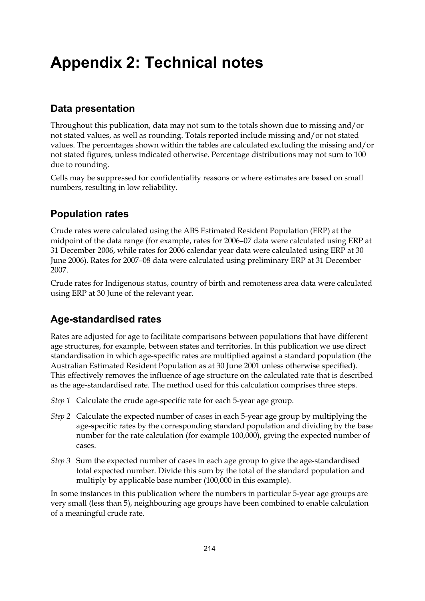# **Appendix 2: Technical notes**

## **Data presentation**

Throughout this publication, data may not sum to the totals shown due to missing and/or not stated values, as well as rounding. Totals reported include missing and/or not stated values. The percentages shown within the tables are calculated excluding the missing and/or not stated figures, unless indicated otherwise. Percentage distributions may not sum to 100 due to rounding.

Cells may be suppressed for confidentiality reasons or where estimates are based on small numbers, resulting in low reliability.

## **Population rates**

Crude rates were calculated using the ABS Estimated Resident Population (ERP) at the midpoint of the data range (for example, rates for 2006–07 data were calculated using ERP at 31 December 2006, while rates for 2006 calendar year data were calculated using ERP at 30 June 2006). Rates for 2007–08 data were calculated using preliminary ERP at 31 December 2007.

Crude rates for Indigenous status, country of birth and remoteness area data were calculated using ERP at 30 June of the relevant year.

## **Age-standardised rates**

Rates are adjusted for age to facilitate comparisons between populations that have different age structures, for example, between states and territories. In this publication we use direct standardisation in which age-specific rates are multiplied against a standard population (the Australian Estimated Resident Population as at 30 June 2001 unless otherwise specified). This effectively removes the influence of age structure on the calculated rate that is described as the age-standardised rate. The method used for this calculation comprises three steps.

- *Step 1* Calculate the crude age-specific rate for each 5-year age group.
- *Step 2* Calculate the expected number of cases in each 5-year age group by multiplying the age-specific rates by the corresponding standard population and dividing by the base number for the rate calculation (for example 100,000), giving the expected number of cases.
- *Step 3* Sum the expected number of cases in each age group to give the age-standardised total expected number. Divide this sum by the total of the standard population and multiply by applicable base number (100,000 in this example).

In some instances in this publication where the numbers in particular 5-year age groups are very small (less than 5), neighbouring age groups have been combined to enable calculation of a meaningful crude rate.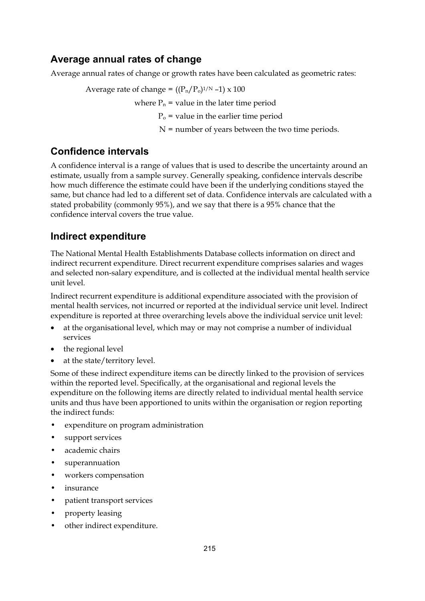## **Average annual rates of change**

Average annual rates of change or growth rates have been calculated as geometric rates:

Average rate of change =  $((P_n/P_0)^{1/N} -1) \times 100$ 

where  $P_n$  = value in the later time period

 $P<sub>o</sub>$  = value in the earlier time period

 $N =$  number of years between the two time periods.

### **Confidence intervals**

A confidence interval is a range of values that is used to describe the uncertainty around an estimate, usually from a sample survey. Generally speaking, confidence intervals describe how much difference the estimate could have been if the underlying conditions stayed the same, but chance had led to a different set of data. Confidence intervals are calculated with a stated probability (commonly 95%), and we say that there is a 95% chance that the confidence interval covers the true value.

## **Indirect expenditure**

The National Mental Health Establishments Database collects information on direct and indirect recurrent expenditure. Direct recurrent expenditure comprises salaries and wages and selected non-salary expenditure, and is collected at the individual mental health service unit level.

Indirect recurrent expenditure is additional expenditure associated with the provision of mental health services, not incurred or reported at the individual service unit level. Indirect expenditure is reported at three overarching levels above the individual service unit level:

- at the organisational level, which may or may not comprise a number of individual services
- the regional level
- at the state/territory level.

Some of these indirect expenditure items can be directly linked to the provision of services within the reported level. Specifically, at the organisational and regional levels the expenditure on the following items are directly related to individual mental health service units and thus have been apportioned to units within the organisation or region reporting the indirect funds:

- expenditure on program administration
- support services
- academic chairs
- superannuation
- workers compensation
- insurance
- patient transport services
- property leasing
- other indirect expenditure.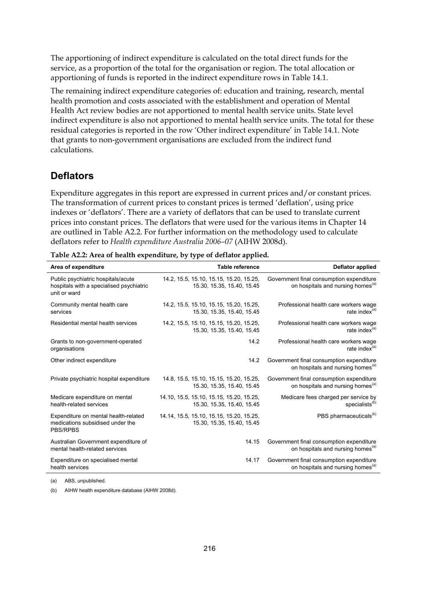The apportioning of indirect expenditure is calculated on the total direct funds for the service, as a proportion of the total for the organisation or region. The total allocation or apportioning of funds is reported in the indirect expenditure rows in Table 14.1.

The remaining indirect expenditure categories of: education and training, research, mental health promotion and costs associated with the establishment and operation of Mental Health Act review bodies are not apportioned to mental health service units. State level indirect expenditure is also not apportioned to mental health service units. The total for these residual categories is reported in the row 'Other indirect expenditure' in Table 14.1. Note that grants to non-government organisations are excluded from the indirect fund calculations.

#### **Deflators**

Expenditure aggregates in this report are expressed in current prices and/or constant prices. The transformation of current prices to constant prices is termed 'deflation', using price indexes or 'deflators'. There are a variety of deflators that can be used to translate current prices into constant prices. The deflators that were used for the various items in Chapter 14 are outlined in Table A2.2. For further information on the methodology used to calculate deflators refer to *Health expenditure Australia 2006–07* (AIHW 2008d).

| Area of expenditure                                                                            | <b>Table reference</b>                                                 | Deflator applied                                                                          |
|------------------------------------------------------------------------------------------------|------------------------------------------------------------------------|-------------------------------------------------------------------------------------------|
| Public psychiatric hospitals/acute<br>hospitals with a specialised psychiatric<br>unit or ward | 14.2, 15.5, 15.10, 15.15, 15.20, 15.25,<br>15.30, 15.35, 15.40, 15.45  | Government final consumption expenditure<br>on hospitals and nursing homes <sup>(a)</sup> |
| Community mental health care<br>services                                                       | 14.2, 15.5, 15.10, 15.15, 15.20, 15.25,<br>15.30, 15.35, 15.40, 15.45  | Professional health care workers wage<br>rate index <sup>(a)</sup>                        |
| Residential mental health services                                                             | 14.2, 15.5, 15.10, 15.15, 15.20, 15.25,<br>15.30, 15.35, 15.40, 15.45  | Professional health care workers wage<br>rate index <sup>(a)</sup>                        |
| Grants to non-government-operated<br>organisations                                             | 14.2                                                                   | Professional health care workers wage<br>rate index $(a)$                                 |
| Other indirect expenditure                                                                     | 14.2                                                                   | Government final consumption expenditure<br>on hospitals and nursing homes <sup>(a)</sup> |
| Private psychiatric hospital expenditure                                                       | 14.8, 15.5, 15.10, 15.15, 15.20, 15.25,<br>15.30, 15.35, 15.40, 15.45  | Government final consumption expenditure<br>on hospitals and nursing homes <sup>(a)</sup> |
| Medicare expenditure on mental<br>health-related services                                      | 14.10, 15.5, 15.10, 15.15, 15.20, 15.25,<br>15.30, 15.35, 15.40, 15.45 | Medicare fees charged per service by<br>specialists <sup>(b)</sup>                        |
| Expenditure on mental health-related<br>medications subsidised under the<br><b>PBS/RPBS</b>    | 14.14, 15.5, 15.10, 15.15, 15.20, 15.25,<br>15.30, 15.35, 15.40, 15.45 | PBS pharmaceuticals <sup>(b)</sup>                                                        |
| Australian Government expenditure of<br>mental health-related services                         | 14.15                                                                  | Government final consumption expenditure<br>on hospitals and nursing homes <sup>(a)</sup> |
| Expenditure on specialised mental<br>health services                                           | 14.17                                                                  | Government final consumption expenditure<br>on hospitals and nursing homes <sup>(a)</sup> |

(a) ABS, unpublished.

(b) AIHW health expenditure database (AIHW 2008d).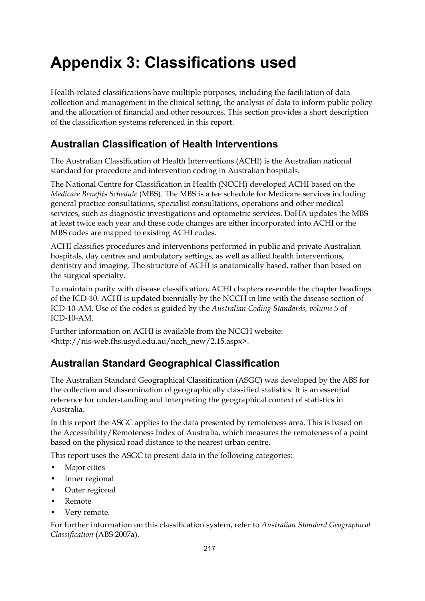# **Appendix 3: Classifications used**

Health-related classifications have multiple purposes, including the facilitation of data collection and management in the clinical setting, the analysis of data to inform public policy and the allocation of financial and other resources. This section provides a short description of the classification systems referenced in this report.

### **Australian Classification of Health Interventions**

The Australian Classification of Health Interventions (ACHI) is the Australian national standard for procedure and intervention coding in Australian hospitals.

The National Centre for Classification in Health (NCCH) developed ACHI based on the *Medicare Benefits Schedule* (MBS). The MBS is a fee schedule for Medicare services including general practice consultations, specialist consultations, operations and other medical services, such as diagnostic investigations and optometric services. DoHA updates the MBS at least twice each year and these code changes are either incorporated into ACHI or the MBS codes are mapped to existing ACHI codes.

ACHI classifies procedures and interventions performed in public and private Australian hospitals, day centres and ambulatory settings, as well as allied health interventions, dentistry and imaging. The structure of ACHI is anatomically based, rather than based on the surgical specialty.

To maintain parity with disease classification, ACHI chapters resemble the chapter headings of the ICD-10. ACHI is updated biennially by the NCCH in line with the disease section of ICD-10-AM. Use of the codes is guided by the *Australian Coding Standards, volume 5* of ICD-10-AM.

Further information on ACHI is available from the NCCH website: <http://nis-web.fhs.usyd.edu.au/ncch\_new/2.15.aspx>.

## **Australian Standard Geographical Classification**

The Australian Standard Geographical Classification (ASGC) was developed by the ABS for the collection and dissemination of geographically classified statistics. It is an essential reference for understanding and interpreting the geographical context of statistics in Australia.

In this report the ASGC applies to the data presented by remoteness area. This is based on the Accessibility/Remoteness Index of Australia, which measures the remoteness of a point based on the physical road distance to the nearest urban centre.

This report uses the ASGC to present data in the following categories:

- Major cities
- Inner regional
- Outer regional
- Remote
- Very remote*.*

For further information on this classification system, refer to *Australian Standard Geographical Classification* (ABS 2007a).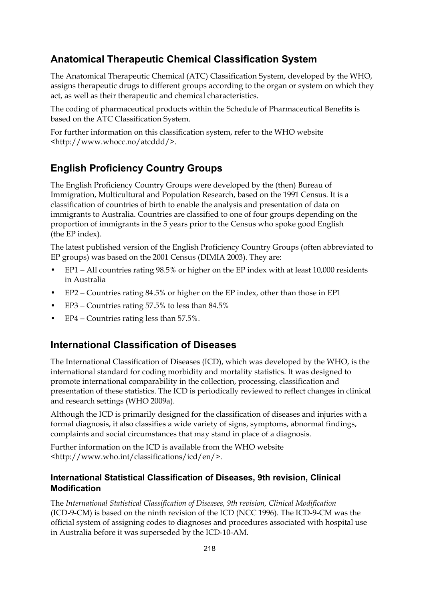### **Anatomical Therapeutic Chemical Classification System**

The Anatomical Therapeutic Chemical (ATC) Classification System, developed by the WHO, assigns therapeutic drugs to different groups according to the organ or system on which they act, as well as their therapeutic and chemical characteristics.

The coding of pharmaceutical products within the Schedule of Pharmaceutical Benefits is based on the ATC Classification System.

For further information on this classification system, refer to the WHO website <http://www.whocc.no/atcddd/>.

### **English Proficiency Country Groups**

The English Proficiency Country Groups were developed by the (then) Bureau of Immigration, Multicultural and Population Research, based on the 1991 Census. It is a classification of countries of birth to enable the analysis and presentation of data on immigrants to Australia. Countries are classified to one of four groups depending on the proportion of immigrants in the 5 years prior to the Census who spoke good English (the EP index).

The latest published version of the English Proficiency Country Groups (often abbreviated to EP groups) was based on the 2001 Census (DIMIA 2003). They are:

- EP1 − All countries rating 98.5% or higher on the EP index with at least 10,000 residents in Australia
- EP2 − Countries rating 84.5% or higher on the EP index, other than those in EP1
- EP3 − Countries rating 57.5% to less than 84.5%
- EP4 − Countries rating less than 57.5%.

#### **International Classification of Diseases**

The International Classification of Diseases (ICD), which was developed by the WHO, is the international standard for coding morbidity and mortality statistics. It was designed to promote international comparability in the collection, processing, classification and presentation of these statistics. The ICD is periodically reviewed to reflect changes in clinical and research settings (WHO 2009a).

Although the ICD is primarily designed for the classification of diseases and injuries with a formal diagnosis, it also classifies a wide variety of signs, symptoms, abnormal findings, complaints and social circumstances that may stand in place of a diagnosis.

Further information on the ICD is available from the WHO website <http://www.who.int/classifications/icd/en/>.

#### **International Statistical Classification of Diseases, 9th revision, Clinical Modification**

The *International Statistical Classification of Diseases, 9th revision, Clinical Modification* (ICD-9-CM) is based on the ninth revision of the ICD (NCC 1996). The ICD-9-CM was the official system of assigning codes to diagnoses and procedures associated with hospital use in Australia before it was superseded by the ICD-10-AM.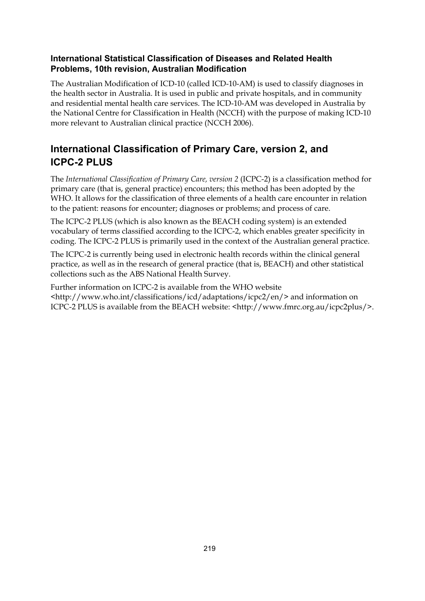#### **International Statistical Classification of Diseases and Related Health Problems, 10th revision, Australian Modification**

The Australian Modification of ICD-10 (called ICD-10-AM) is used to classify diagnoses in the health sector in Australia. It is used in public and private hospitals, and in community and residential mental health care services. The ICD-10-AM was developed in Australia by the National Centre for Classification in Health (NCCH) with the purpose of making ICD-10 more relevant to Australian clinical practice (NCCH 2006).

# **International Classification of Primary Care, version 2, and ICPC-2 PLUS**

The *International Classification of Primary Care, version 2* (ICPC-2) is a classification method for primary care (that is, general practice) encounters; this method has been adopted by the WHO. It allows for the classification of three elements of a health care encounter in relation to the patient: reasons for encounter; diagnoses or problems; and process of care.

The ICPC-2 PLUS (which is also known as the BEACH coding system) is an extended vocabulary of terms classified according to the ICPC-2, which enables greater specificity in coding. The ICPC-2 PLUS is primarily used in the context of the Australian general practice.

The ICPC-2 is currently being used in electronic health records within the clinical general practice, as well as in the research of general practice (that is, BEACH) and other statistical collections such as the ABS National Health Survey.

Further information on ICPC-2 is available from the WHO website <http://www.who.int/classifications/icd/adaptations/icpc2/en/> and information on ICPC-2 PLUS is available from the BEACH website: <http://www.fmrc.org.au/icpc2plus/>.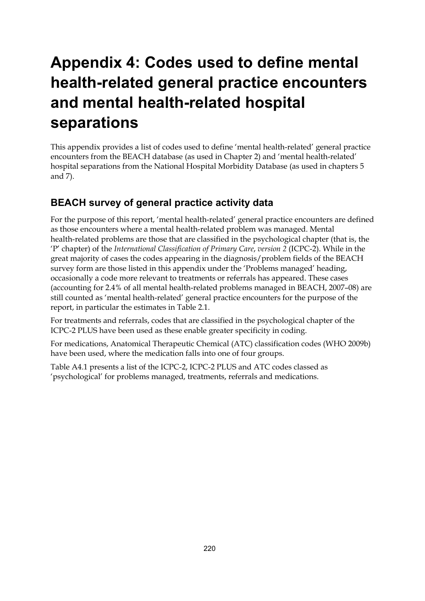# **Appendix 4: Codes used to define mental health-related general practice encounters and mental health-related hospital separations**

This appendix provides a list of codes used to define 'mental health-related' general practice encounters from the BEACH database (as used in Chapter 2) and 'mental health-related' hospital separations from the National Hospital Morbidity Database (as used in chapters 5 and 7).

## **BEACH survey of general practice activity data**

For the purpose of this report, 'mental health-related' general practice encounters are defined as those encounters where a mental health-related problem was managed. Mental health-related problems are those that are classified in the psychological chapter (that is, the 'P' chapter) of the *International Classification of Primary Care*, *version 2* (ICPC-2). While in the great majority of cases the codes appearing in the diagnosis/problem fields of the BEACH survey form are those listed in this appendix under the 'Problems managed' heading, occasionally a code more relevant to treatments or referrals has appeared. These cases (accounting for 2.4% of all mental health-related problems managed in BEACH, 2007–08) are still counted as 'mental health-related' general practice encounters for the purpose of the report, in particular the estimates in Table 2.1.

For treatments and referrals, codes that are classified in the psychological chapter of the ICPC-2 PLUS have been used as these enable greater specificity in coding.

For medications, Anatomical Therapeutic Chemical (ATC) classification codes (WHO 2009b) have been used, where the medication falls into one of four groups.

Table A4.1 presents a list of the ICPC-2, ICPC-2 PLUS and ATC codes classed as 'psychological' for problems managed, treatments, referrals and medications.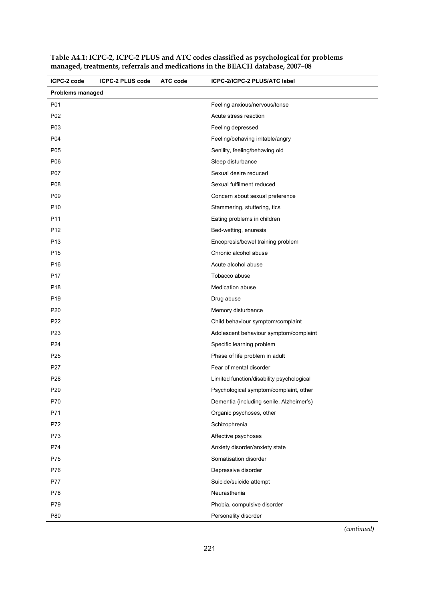| ICPC-2 code             | <b>ICPC-2 PLUS code</b> | ATC code | ICPC-2/ICPC-2 PLUS/ATC label              |
|-------------------------|-------------------------|----------|-------------------------------------------|
| <b>Problems managed</b> |                         |          |                                           |
| P01                     |                         |          | Feeling anxious/nervous/tense             |
| P02                     |                         |          | Acute stress reaction                     |
| P <sub>0</sub> 3        |                         |          | Feeling depressed                         |
| P04                     |                         |          | Feeling/behaving irritable/angry          |
| P <sub>05</sub>         |                         |          | Senility, feeling/behaving old            |
| P06                     |                         |          | Sleep disturbance                         |
| P07                     |                         |          | Sexual desire reduced                     |
| P08                     |                         |          | Sexual fulfilment reduced                 |
| P <sub>09</sub>         |                         |          | Concern about sexual preference           |
| P <sub>10</sub>         |                         |          | Stammering, stuttering, tics              |
| P11                     |                         |          | Eating problems in children               |
| P <sub>12</sub>         |                         |          | Bed-wetting, enuresis                     |
| P <sub>13</sub>         |                         |          | Encopresis/bowel training problem         |
| P <sub>15</sub>         |                         |          | Chronic alcohol abuse                     |
| P <sub>16</sub>         |                         |          | Acute alcohol abuse                       |
| P <sub>17</sub>         |                         |          | Tobacco abuse                             |
| P <sub>18</sub>         |                         |          | Medication abuse                          |
| P <sub>19</sub>         |                         |          | Drug abuse                                |
| P <sub>20</sub>         |                         |          | Memory disturbance                        |
| P <sub>22</sub>         |                         |          | Child behaviour symptom/complaint         |
| P <sub>23</sub>         |                         |          | Adolescent behaviour symptom/complaint    |
| P <sub>24</sub>         |                         |          | Specific learning problem                 |
| P <sub>25</sub>         |                         |          | Phase of life problem in adult            |
| P <sub>27</sub>         |                         |          | Fear of mental disorder                   |
| P <sub>28</sub>         |                         |          | Limited function/disability psychological |
| P <sub>29</sub>         |                         |          | Psychological symptom/complaint, other    |
| P70                     |                         |          | Dementia (including senile, Alzheimer's)  |
| P71                     |                         |          | Organic psychoses, other                  |
| P72                     |                         |          | Schizophrenia                             |
| P73                     |                         |          | Affective psychoses                       |
| P74                     |                         |          | Anxiety disorder/anxiety state            |
| P75                     |                         |          | Somatisation disorder                     |
| P76                     |                         |          | Depressive disorder                       |
| P77                     |                         |          | Suicide/suicide attempt                   |
| P78                     |                         |          | Neurasthenia                              |
| P79                     |                         |          | Phobia, compulsive disorder               |
| P80                     |                         |          | Personality disorder                      |

**Table A4.1: ICPC-2, ICPC-2 PLUS and ATC codes classified as psychological for problems managed, treatments, referrals and medications in the BEACH database, 2007–08**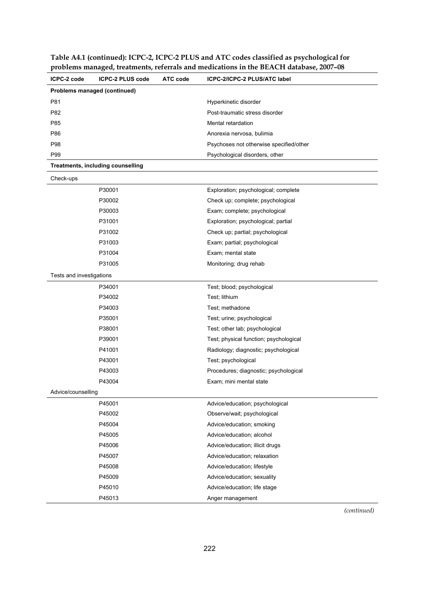**Table A4.1 (continued): ICPC-2, ICPC-2 PLUS and ATC codes classified as psychological for problems managed, treatments, referrals and medications in the BEACH database, 2007–08** 

| ICPC-2 code              | <b>ICPC-2 PLUS code</b>           | <b>ATC code</b> | ICPC-2/ICPC-2 PLUS/ATC label            |
|--------------------------|-----------------------------------|-----------------|-----------------------------------------|
|                          | Problems managed (continued)      |                 |                                         |
| P81                      |                                   |                 | Hyperkinetic disorder                   |
| P82                      |                                   |                 | Post-traumatic stress disorder          |
| P85                      |                                   |                 | Mental retardation                      |
| P86                      |                                   |                 | Anorexia nervosa, bulimia               |
| P98                      |                                   |                 | Psychoses not otherwise specified/other |
| P99                      |                                   |                 | Psychological disorders, other          |
|                          | Treatments, including counselling |                 |                                         |
| Check-ups                |                                   |                 |                                         |
|                          | P30001                            |                 | Exploration; psychological; complete    |
|                          | P30002                            |                 | Check up; complete; psychological       |
|                          | P30003                            |                 | Exam; complete; psychological           |
|                          | P31001                            |                 | Exploration; psychological; partial     |
|                          | P31002                            |                 | Check up; partial; psychological        |
|                          | P31003                            |                 | Exam; partial; psychological            |
|                          | P31004                            |                 | Exam; mental state                      |
|                          | P31005                            |                 | Monitoring; drug rehab                  |
| Tests and investigations |                                   |                 |                                         |
|                          | P34001                            |                 | Test; blood; psychological              |
|                          | P34002                            |                 | Test; lithium                           |
|                          | P34003                            |                 | Test; methadone                         |
|                          | P35001                            |                 | Test; urine; psychological              |
|                          | P38001                            |                 | Test; other lab; psychological          |
|                          | P39001                            |                 | Test; physical function; psychological  |
|                          | P41001                            |                 | Radiology; diagnostic; psychological    |
|                          | P43001                            |                 | Test; psychological                     |
|                          | P43003                            |                 | Procedures; diagnostic; psychological   |
|                          | P43004                            |                 | Exam; mini mental state                 |
| Advice/counselling       |                                   |                 |                                         |
|                          | P45001                            |                 | Advice/education; psychological         |
|                          | P45002                            |                 | Observe/wait; psychological             |
|                          | P45004                            |                 | Advice/education; smoking               |
|                          | P45005                            |                 | Advice/education; alcohol               |
|                          | P45006                            |                 | Advice/education; illicit drugs         |
|                          | P45007                            |                 | Advice/education; relaxation            |
|                          | P45008                            |                 | Advice/education; lifestyle             |
|                          | P45009                            |                 | Advice/education; sexuality             |
|                          | P45010                            |                 | Advice/education; life stage            |
|                          | P45013                            |                 | Anger management                        |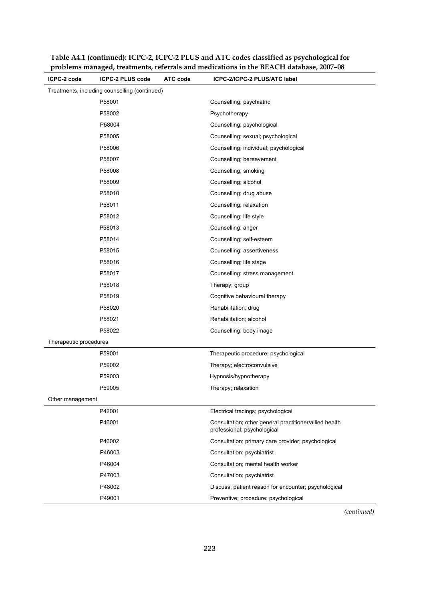| ICPC-2 code            | <b>ICPC-2 PLUS code</b>                       | <b>ATC code</b> | ICPC-2/ICPC-2 PLUS/ATC label                                                          |
|------------------------|-----------------------------------------------|-----------------|---------------------------------------------------------------------------------------|
|                        | Treatments, including counselling (continued) |                 |                                                                                       |
|                        | P58001                                        |                 | Counselling; psychiatric                                                              |
|                        | P58002                                        |                 | Psychotherapy                                                                         |
|                        | P58004                                        |                 | Counselling; psychological                                                            |
|                        | P58005                                        |                 | Counselling; sexual; psychological                                                    |
|                        | P58006                                        |                 | Counselling; individual; psychological                                                |
|                        | P58007                                        |                 | Counselling; bereavement                                                              |
|                        | P58008                                        |                 | Counselling; smoking                                                                  |
|                        | P58009                                        |                 | Counselling; alcohol                                                                  |
|                        | P58010                                        |                 | Counselling; drug abuse                                                               |
|                        | P58011                                        |                 | Counselling; relaxation                                                               |
|                        | P58012                                        |                 | Counselling; life style                                                               |
|                        | P58013                                        |                 | Counselling; anger                                                                    |
|                        | P58014                                        |                 | Counselling; self-esteem                                                              |
|                        | P58015                                        |                 | Counselling; assertiveness                                                            |
|                        | P58016                                        |                 | Counselling; life stage                                                               |
|                        | P58017                                        |                 | Counselling; stress management                                                        |
|                        | P58018                                        |                 | Therapy; group                                                                        |
|                        | P58019                                        |                 | Cognitive behavioural therapy                                                         |
|                        | P58020                                        |                 | Rehabilitation; drug                                                                  |
|                        | P58021                                        |                 | Rehabilitation; alcohol                                                               |
|                        | P58022                                        |                 | Counselling; body image                                                               |
| Therapeutic procedures |                                               |                 |                                                                                       |
|                        | P59001                                        |                 | Therapeutic procedure; psychological                                                  |
|                        | P59002                                        |                 | Therapy; electroconvulsive                                                            |
|                        | P59003                                        |                 | Hypnosis/hypnotherapy                                                                 |
|                        | P59005                                        |                 | Therapy; relaxation                                                                   |
| Other management       |                                               |                 |                                                                                       |
|                        | P42001                                        |                 | Electrical tracings; psychological                                                    |
|                        | P46001                                        |                 | Consultation; other general practitioner/allied health<br>professional; psychological |
|                        | P46002                                        |                 | Consultation; primary care provider; psychological                                    |
|                        | P46003                                        |                 | Consultation; psychiatrist                                                            |
|                        | P46004                                        |                 | Consultation; mental health worker                                                    |
|                        | P47003                                        |                 | Consultation; psychiatrist                                                            |
|                        | P48002                                        |                 | Discuss; patient reason for encounter; psychological                                  |
|                        | P49001                                        |                 | Preventive; procedure; psychological                                                  |

**Table A4.1 (continued): ICPC-2, ICPC-2 PLUS and ATC codes classified as psychological for problems managed, treatments, referrals and medications in the BEACH database, 2007–08**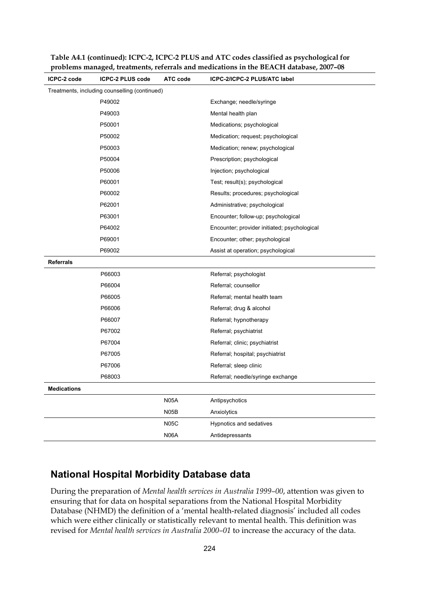| ICPC-2 code        | ICPC-2 PLUS code                              | <b>ATC</b> code | ICPC-2/ICPC-2 PLUS/ATC label                 |
|--------------------|-----------------------------------------------|-----------------|----------------------------------------------|
|                    | Treatments, including counselling (continued) |                 |                                              |
|                    | P49002                                        |                 | Exchange; needle/syringe                     |
|                    | P49003                                        |                 | Mental health plan                           |
|                    | P50001                                        |                 | Medications; psychological                   |
|                    | P50002                                        |                 | Medication; request; psychological           |
|                    | P50003                                        |                 | Medication; renew; psychological             |
|                    | P50004                                        |                 | Prescription; psychological                  |
|                    | P50006                                        |                 | Injection; psychological                     |
|                    | P60001                                        |                 | Test; result(s); psychological               |
|                    | P60002                                        |                 | Results; procedures; psychological           |
|                    | P62001                                        |                 | Administrative; psychological                |
|                    | P63001                                        |                 | Encounter; follow-up; psychological          |
|                    | P64002                                        |                 | Encounter; provider initiated; psychological |
|                    | P69001                                        |                 | Encounter; other; psychological              |
|                    | P69002                                        |                 | Assist at operation; psychological           |
| <b>Referrals</b>   |                                               |                 |                                              |
|                    | P66003                                        |                 | Referral; psychologist                       |
|                    | P66004                                        |                 | Referral; counsellor                         |
|                    | P66005                                        |                 | Referral; mental health team                 |
|                    | P66006                                        |                 | Referral; drug & alcohol                     |
|                    | P66007                                        |                 | Referral; hypnotherapy                       |
|                    | P67002                                        |                 | Referral; psychiatrist                       |
|                    | P67004                                        |                 | Referral; clinic; psychiatrist               |
|                    | P67005                                        |                 | Referral; hospital; psychiatrist             |
|                    | P67006                                        |                 | Referral; sleep clinic                       |
|                    | P68003                                        |                 | Referral; needle/syringe exchange            |
| <b>Medications</b> |                                               |                 |                                              |
|                    |                                               | <b>N05A</b>     | Antipsychotics                               |
|                    |                                               | <b>N05B</b>     | Anxiolytics                                  |
|                    |                                               | <b>N05C</b>     | Hypnotics and sedatives                      |
|                    |                                               | <b>N06A</b>     | Antidepressants                              |

**Table A4.1 (continued): ICPC-2, ICPC-2 PLUS and ATC codes classified as psychological for problems managed, treatments, referrals and medications in the BEACH database, 2007–08** 

## **National Hospital Morbidity Database data**

During the preparation of *Mental health services in Australia 1999–00*, attention was given to ensuring that for data on hospital separations from the National Hospital Morbidity Database (NHMD) the definition of a 'mental health-related diagnosis' included all codes which were either clinically or statistically relevant to mental health. This definition was revised for *Mental health services in Australia 2000–01* to increase the accuracy of the data.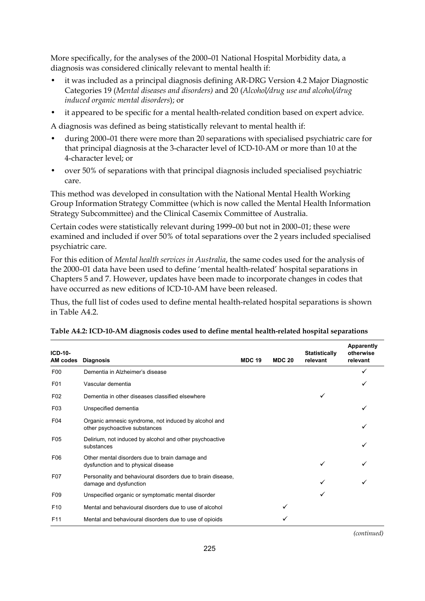More specifically, for the analyses of the 2000–01 National Hospital Morbidity data, a diagnosis was considered clinically relevant to mental health if:

- it was included as a principal diagnosis defining AR-DRG Version 4.2 Major Diagnostic Categories 19 (*Mental diseases and disorders)* and 20 (*Alcohol/drug use and alcohol/drug induced organic mental disorders*); or
- it appeared to be specific for a mental health-related condition based on expert advice.

A diagnosis was defined as being statistically relevant to mental health if:

- during 2000–01 there were more than 20 separations with specialised psychiatric care for that principal diagnosis at the 3-character level of ICD-10-AM or more than 10 at the 4-character level; or
- over 50% of separations with that principal diagnosis included specialised psychiatric care.

This method was developed in consultation with the National Mental Health Working Group Information Strategy Committee (which is now called the Mental Health Information Strategy Subcommittee) and the Clinical Casemix Committee of Australia.

Certain codes were statistically relevant during 1999–00 but not in 2000–01; these were examined and included if over 50% of total separations over the 2 years included specialised psychiatric care.

For this edition of *Mental health services in Australia*, the same codes used for the analysis of the 2000–01 data have been used to define 'mental health-related' hospital separations in Chapters 5 and 7. However, updates have been made to incorporate changes in codes that have occurred as new editions of ICD-10-AM have been released.

Thus, the full list of codes used to define mental health-related hospital separations is shown in Table A4.2.

| $ICD-10-$<br>AM codes | <b>Diagnosis</b>                                                                      | <b>MDC 19</b> | <b>MDC 20</b> | <b>Statistically</b><br>relevant | <b>Apparently</b><br>otherwise<br>relevant |
|-----------------------|---------------------------------------------------------------------------------------|---------------|---------------|----------------------------------|--------------------------------------------|
| F <sub>0</sub>        | Dementia in Alzheimer's disease                                                       |               |               |                                  |                                            |
| F01                   | Vascular dementia                                                                     |               |               |                                  |                                            |
| F <sub>02</sub>       | Dementia in other diseases classified elsewhere                                       |               |               | ✓                                |                                            |
| F <sub>03</sub>       | Unspecified dementia                                                                  |               |               |                                  | ✓                                          |
| F <sub>04</sub>       | Organic amnesic syndrome, not induced by alcohol and<br>other psychoactive substances |               |               |                                  | ✓                                          |
| F <sub>05</sub>       | Delirium, not induced by alcohol and other psychoactive<br>substances                 |               |               |                                  | ✓                                          |
| F06                   | Other mental disorders due to brain damage and<br>dysfunction and to physical disease |               |               | ✓                                |                                            |
| F <sub>0</sub> 7      | Personality and behavioural disorders due to brain disease,<br>damage and dysfunction |               |               | ✓                                |                                            |
| F <sub>09</sub>       | Unspecified organic or symptomatic mental disorder                                    |               |               | ✓                                |                                            |
| F <sub>10</sub>       | Mental and behavioural disorders due to use of alcohol                                |               | ✓             |                                  |                                            |
| F <sub>11</sub>       | Mental and behavioural disorders due to use of opioids                                |               |               |                                  |                                            |

| Table A4.2: ICD-10-AM diagnosis codes used to define mental health-related hospital separations |  |  |
|-------------------------------------------------------------------------------------------------|--|--|
|                                                                                                 |  |  |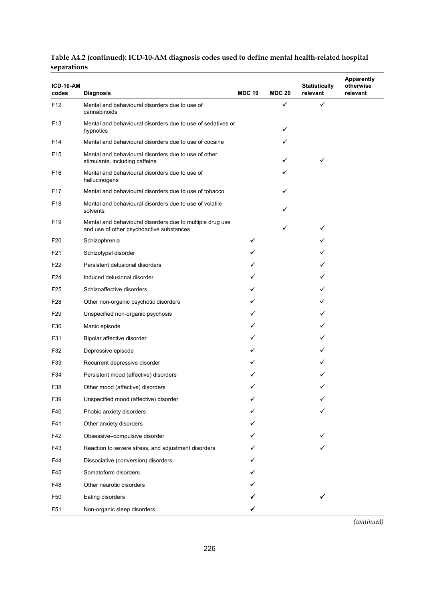| ICD-10-AM       |                                                                                                       |               |               | <b>Statistically</b> | <b>Apparently</b><br>otherwise |
|-----------------|-------------------------------------------------------------------------------------------------------|---------------|---------------|----------------------|--------------------------------|
| codes           | <b>Diagnosis</b>                                                                                      | <b>MDC 19</b> | <b>MDC 20</b> | relevant             | relevant                       |
| F <sub>12</sub> | Mental and behavioural disorders due to use of<br>cannabinoids                                        |               | $\checkmark$  | ✓                    |                                |
| F <sub>13</sub> | Mental and behavioural disorders due to use of sedatives or<br>hypnotics                              |               | ✓             |                      |                                |
| F14             | Mental and behavioural disorders due to use of cocaine                                                |               |               |                      |                                |
| F <sub>15</sub> | Mental and behavioural disorders due to use of other<br>stimulants, including caffeine                |               | ✓             | ✓                    |                                |
| F <sub>16</sub> | Mental and behavioural disorders due to use of<br>hallucinogens                                       |               | ✓             |                      |                                |
| F17             | Mental and behavioural disorders due to use of tobacco                                                |               |               |                      |                                |
| F18             | Mental and behavioural disorders due to use of volatile<br>solvents                                   |               | ✓             |                      |                                |
| F <sub>19</sub> | Mental and behavioural disorders due to multiple drug use<br>and use of other psychoactive substances |               | ✓             | ✓                    |                                |
| F <sub>20</sub> | Schizophrenia                                                                                         | ✓             |               |                      |                                |
| F21             | Schizotypal disorder                                                                                  | ✓             |               |                      |                                |
| F22             | Persistent delusional disorders                                                                       |               |               |                      |                                |
| F <sub>24</sub> | Induced delusional disorder                                                                           | ✓             |               |                      |                                |
| F <sub>25</sub> | Schizoaffective disorders                                                                             |               |               |                      |                                |
| F28             | Other non-organic psychotic disorders                                                                 |               |               |                      |                                |
| F <sub>29</sub> | Unspecified non-organic psychosis                                                                     | ✓             |               |                      |                                |
| F30             | Manic episode                                                                                         |               |               |                      |                                |
| F31             | Bipolar affective disorder                                                                            | ✓             |               |                      |                                |
| F32             | Depressive episode                                                                                    |               |               |                      |                                |
| F33             | Recurrent depressive disorder                                                                         |               |               |                      |                                |
| F34             | Persistent mood (affective) disorders                                                                 |               |               |                      |                                |
| F38             | Other mood (affective) disorders                                                                      |               |               |                      |                                |
| F39             | Unspecified mood (affective) disorder                                                                 |               |               |                      |                                |
| F40             | Phobic anxiety disorders                                                                              |               |               |                      |                                |
| F41             | Other anxiety disorders                                                                               |               |               |                      |                                |
| F42             | Obsessive-compulsive disorder                                                                         |               |               |                      |                                |
| F43             | Reaction to severe stress, and adjustment disorders                                                   |               |               |                      |                                |
| F44             | Dissociative (conversion) disorders                                                                   |               |               |                      |                                |
| F45             | Somatoform disorders                                                                                  |               |               |                      |                                |
| F48             | Other neurotic disorders                                                                              |               |               |                      |                                |
| F50             | Eating disorders                                                                                      |               |               |                      |                                |
| F51             | Non-organic sleep disorders                                                                           | ✓             |               |                      |                                |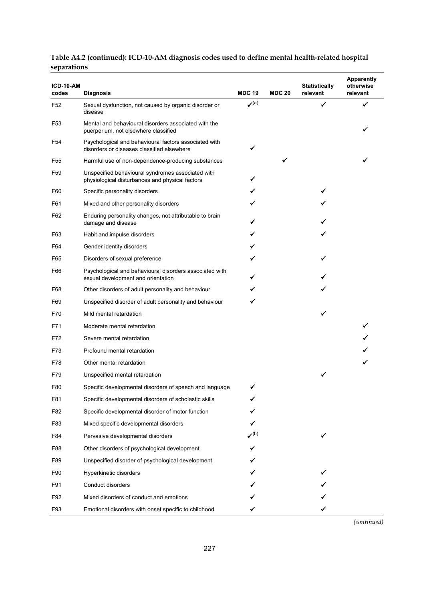| ICD-10-AM<br>codes | <b>Diagnosis</b>                                                                                     | <b>MDC 19</b>                                          | <b>MDC 20</b> | <b>Statistically</b><br>relevant | <b>Apparently</b><br>otherwise<br>relevant |
|--------------------|------------------------------------------------------------------------------------------------------|--------------------------------------------------------|---------------|----------------------------------|--------------------------------------------|
| F <sub>52</sub>    | Sexual dysfunction, not caused by organic disorder or<br>disease                                     | $\boldsymbol{\checkmark}^{(\textnormal{\texttt{a}})}$  |               |                                  | ✔                                          |
| F <sub>53</sub>    | Mental and behavioural disorders associated with the<br>puerperium, not elsewhere classified         |                                                        |               |                                  |                                            |
| F54                | Psychological and behavioural factors associated with<br>disorders or diseases classified elsewhere  |                                                        |               |                                  |                                            |
| F55                | Harmful use of non-dependence-producing substances                                                   |                                                        | ✓             |                                  |                                            |
| F59                | Unspecified behavioural syndromes associated with<br>physiological disturbances and physical factors |                                                        |               |                                  |                                            |
| F60                | Specific personality disorders                                                                       |                                                        |               |                                  |                                            |
| F61                | Mixed and other personality disorders                                                                |                                                        |               |                                  |                                            |
| F62                | Enduring personality changes, not attributable to brain<br>damage and disease                        |                                                        |               |                                  |                                            |
| F63                | Habit and impulse disorders                                                                          |                                                        |               |                                  |                                            |
| F64                | Gender identity disorders                                                                            |                                                        |               |                                  |                                            |
| F65                | Disorders of sexual preference                                                                       |                                                        |               |                                  |                                            |
| F66                | Psychological and behavioural disorders associated with<br>sexual development and orientation        |                                                        |               |                                  |                                            |
| F68                | Other disorders of adult personality and behaviour                                                   |                                                        |               |                                  |                                            |
| F69                | Unspecified disorder of adult personality and behaviour                                              |                                                        |               |                                  |                                            |
| F70                | Mild mental retardation                                                                              |                                                        |               |                                  |                                            |
| F71                | Moderate mental retardation                                                                          |                                                        |               |                                  |                                            |
| F72                | Severe mental retardation                                                                            |                                                        |               |                                  |                                            |
| F73                | Profound mental retardation                                                                          |                                                        |               |                                  |                                            |
| F78                | Other mental retardation                                                                             |                                                        |               |                                  |                                            |
| F79                | Unspecified mental retardation                                                                       |                                                        |               | ✓                                |                                            |
| F80                | Specific developmental disorders of speech and language                                              |                                                        |               |                                  |                                            |
| F81                | Specific developmental disorders of scholastic skills                                                |                                                        |               |                                  |                                            |
| F82                | Specific developmental disorder of motor function                                                    |                                                        |               |                                  |                                            |
| F83                | Mixed specific developmental disorders                                                               | ✓                                                      |               |                                  |                                            |
| F84                | Pervasive developmental disorders                                                                    | $\boldsymbol{\mathcal{S}}^{(\boldsymbol{\mathsf{b}})}$ |               | ✓                                |                                            |
| F88                | Other disorders of psychological development                                                         |                                                        |               |                                  |                                            |
| F89                | Unspecified disorder of psychological development                                                    |                                                        |               |                                  |                                            |
| F90                | Hyperkinetic disorders                                                                               |                                                        |               |                                  |                                            |
| F91                | Conduct disorders                                                                                    |                                                        |               |                                  |                                            |
| F92                | Mixed disorders of conduct and emotions                                                              |                                                        |               |                                  |                                            |
| F93                | Emotional disorders with onset specific to childhood                                                 | ✓                                                      |               | ✓                                |                                            |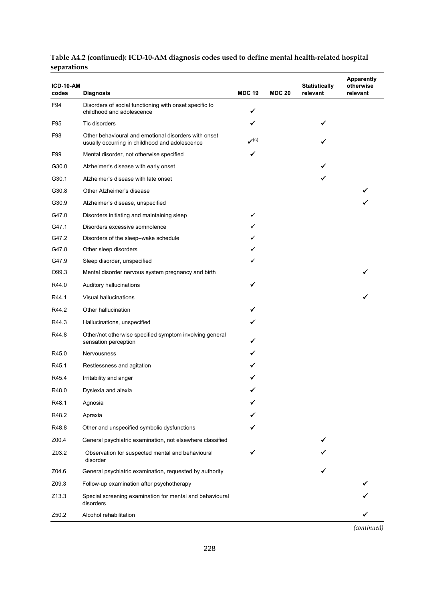| ICD-10-AM<br>codes | <b>Diagnosis</b>                                                                                       | <b>MDC 19</b>                           | <b>MDC 20</b> | <b>Statistically</b><br>relevant | <b>Apparently</b><br>otherwise<br>relevant |
|--------------------|--------------------------------------------------------------------------------------------------------|-----------------------------------------|---------------|----------------------------------|--------------------------------------------|
| F94                | Disorders of social functioning with onset specific to<br>childhood and adolescence                    | ✔                                       |               |                                  |                                            |
| F95                | Tic disorders                                                                                          |                                         |               |                                  |                                            |
| F98                | Other behavioural and emotional disorders with onset<br>usually occurring in childhood and adolescence | $\boldsymbol{\mathcal{p}}^{(\text{c})}$ |               |                                  |                                            |
| F99                | Mental disorder, not otherwise specified                                                               | ✓                                       |               |                                  |                                            |
| G30.0              | Alzheimer's disease with early onset                                                                   |                                         |               |                                  |                                            |
| G30.1              | Alzheimer's disease with late onset                                                                    |                                         |               |                                  |                                            |
| G30.8              | Other Alzheimer's disease                                                                              |                                         |               |                                  |                                            |
| G30.9              | Alzheimer's disease, unspecified                                                                       |                                         |               |                                  |                                            |
| G47.0              | Disorders initiating and maintaining sleep                                                             | ✔                                       |               |                                  |                                            |
| G47.1              | Disorders excessive somnolence                                                                         | ✓                                       |               |                                  |                                            |
| G47.2              | Disorders of the sleep-wake schedule                                                                   |                                         |               |                                  |                                            |
| G47.8              | Other sleep disorders                                                                                  | ✓                                       |               |                                  |                                            |
| G47.9              | Sleep disorder, unspecified                                                                            | ✓                                       |               |                                  |                                            |
| O99.3              | Mental disorder nervous system pregnancy and birth                                                     |                                         |               |                                  |                                            |
| R44.0              | Auditory hallucinations                                                                                | ✓                                       |               |                                  |                                            |
| R44.1              | Visual hallucinations                                                                                  |                                         |               |                                  |                                            |
| R44.2              | Other hallucination                                                                                    |                                         |               |                                  |                                            |
| R44.3              | Hallucinations, unspecified                                                                            |                                         |               |                                  |                                            |
| R44.8              | Other/not otherwise specified symptom involving general<br>sensation perception                        |                                         |               |                                  |                                            |
| R45.0              | Nervousness                                                                                            |                                         |               |                                  |                                            |
| R45.1              | Restlessness and agitation                                                                             |                                         |               |                                  |                                            |
| R45.4              | Irritability and anger                                                                                 |                                         |               |                                  |                                            |
| R48.0              | Dyslexia and alexia                                                                                    |                                         |               |                                  |                                            |
| R48.1              | Agnosia                                                                                                |                                         |               |                                  |                                            |
| R48.2              | Apraxia                                                                                                |                                         |               |                                  |                                            |
| R48.8              | Other and unspecified symbolic dysfunctions                                                            |                                         |               |                                  |                                            |
| Z00.4              | General psychiatric examination, not elsewhere classified                                              |                                         |               |                                  |                                            |
| Z03.2              | Observation for suspected mental and behavioural<br>disorder                                           |                                         |               |                                  |                                            |
| Z04.6              | General psychiatric examination, requested by authority                                                |                                         |               |                                  |                                            |
| Z09.3              | Follow-up examination after psychotherapy                                                              |                                         |               |                                  |                                            |
| Z13.3              | Special screening examination for mental and behavioural<br>disorders                                  |                                         |               |                                  |                                            |
| Z50.2              | Alcohol rehabilitation                                                                                 |                                         |               |                                  |                                            |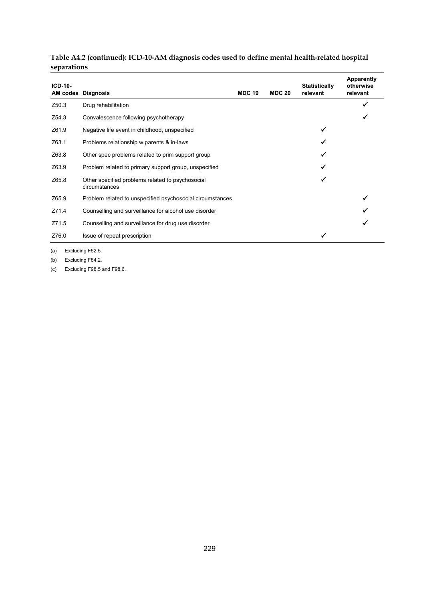| $ICD-10-$         | <b>AM codes Diagnosis</b>                                         | <b>MDC 19</b> | <b>MDC 20</b> | <b>Statistically</b><br>relevant | Apparently<br>otherwise<br>relevant |
|-------------------|-------------------------------------------------------------------|---------------|---------------|----------------------------------|-------------------------------------|
| Z <sub>50.3</sub> | Drug rehabilitation                                               |               |               |                                  | ✔                                   |
| Z54.3             | Convalescence following psychotherapy                             |               |               |                                  |                                     |
| Z61.9             | Negative life event in childhood, unspecified                     |               |               | ✓                                |                                     |
| Z63.1             | Problems relationship w parents & in-laws                         |               |               |                                  |                                     |
| Z63.8             | Other spec problems related to prim support group                 |               |               |                                  |                                     |
| Z63.9             | Problem related to primary support group, unspecified             |               |               |                                  |                                     |
| Z65.8             | Other specified problems related to psychosocial<br>circumstances |               |               |                                  |                                     |
| Z65.9             | Problem related to unspecified psychosocial circumstances         |               |               |                                  | ✔                                   |
| Z71.4             | Counselling and surveillance for alcohol use disorder             |               |               |                                  |                                     |
| Z71.5             | Counselling and surveillance for drug use disorder                |               |               |                                  |                                     |
| Z76.0             | Issue of repeat prescription                                      |               |               | ✔                                |                                     |

(a) Excluding F52.5.

(b) Excluding F84.2.

(c) Excluding F98.5 and F98.6.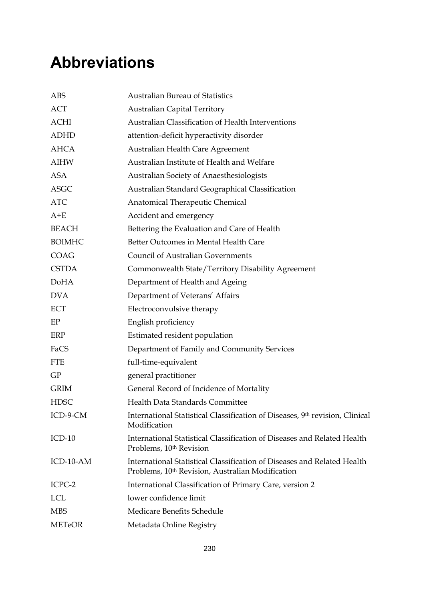# **Abbreviations**

| <b>ABS</b>    | <b>Australian Bureau of Statistics</b>                                                                                      |
|---------------|-----------------------------------------------------------------------------------------------------------------------------|
| <b>ACT</b>    | <b>Australian Capital Territory</b>                                                                                         |
| <b>ACHI</b>   | Australian Classification of Health Interventions                                                                           |
| <b>ADHD</b>   | attention-deficit hyperactivity disorder                                                                                    |
| <b>AHCA</b>   | Australian Health Care Agreement                                                                                            |
| <b>AIHW</b>   | Australian Institute of Health and Welfare                                                                                  |
| <b>ASA</b>    | Australian Society of Anaesthesiologists                                                                                    |
| <b>ASGC</b>   | Australian Standard Geographical Classification                                                                             |
| <b>ATC</b>    | Anatomical Therapeutic Chemical                                                                                             |
| $A + E$       | Accident and emergency                                                                                                      |
| <b>BEACH</b>  | Bettering the Evaluation and Care of Health                                                                                 |
| <b>BOIMHC</b> | Better Outcomes in Mental Health Care                                                                                       |
| <b>COAG</b>   | <b>Council of Australian Governments</b>                                                                                    |
| <b>CSTDA</b>  | Commonwealth State/Territory Disability Agreement                                                                           |
| <b>DoHA</b>   | Department of Health and Ageing                                                                                             |
| <b>DVA</b>    | Department of Veterans' Affairs                                                                                             |
| ECT           | Electroconvulsive therapy                                                                                                   |
| EP            | English proficiency                                                                                                         |
| <b>ERP</b>    | Estimated resident population                                                                                               |
| FaCS          | Department of Family and Community Services                                                                                 |
| <b>FTE</b>    | full-time-equivalent                                                                                                        |
| GP            | general practitioner                                                                                                        |
| <b>GRIM</b>   | General Record of Incidence of Mortality                                                                                    |
| <b>HDSC</b>   | Health Data Standards Committee                                                                                             |
| ICD-9-CM      | International Statistical Classification of Diseases, 9th revision, Clinical<br>Modification                                |
| $ICD-10$      | International Statistical Classification of Diseases and Related Health<br>Problems, 10 <sup>th</sup> Revision              |
| ICD-10-AM     | International Statistical Classification of Diseases and Related Health<br>Problems, 10th Revision, Australian Modification |
| ICPC-2        | International Classification of Primary Care, version 2                                                                     |
| <b>LCL</b>    | lower confidence limit                                                                                                      |
| <b>MBS</b>    | Medicare Benefits Schedule                                                                                                  |
| <b>METeOR</b> | Metadata Online Registry                                                                                                    |
|               |                                                                                                                             |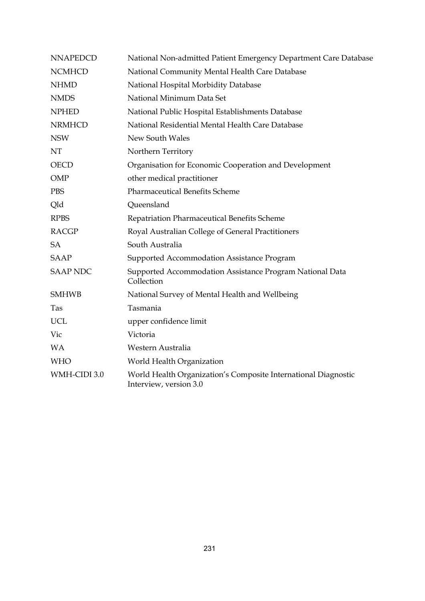| <b>NNAPEDCD</b> | National Non-admitted Patient Emergency Department Care Database                         |
|-----------------|------------------------------------------------------------------------------------------|
| <b>NCMHCD</b>   | National Community Mental Health Care Database                                           |
| <b>NHMD</b>     | National Hospital Morbidity Database                                                     |
| <b>NMDS</b>     | National Minimum Data Set                                                                |
| <b>NPHED</b>    | National Public Hospital Establishments Database                                         |
| <b>NRMHCD</b>   | National Residential Mental Health Care Database                                         |
| <b>NSW</b>      | New South Wales                                                                          |
| NT              | Northern Territory                                                                       |
| <b>OECD</b>     | Organisation for Economic Cooperation and Development                                    |
| OMP             | other medical practitioner                                                               |
| <b>PBS</b>      | <b>Pharmaceutical Benefits Scheme</b>                                                    |
| Qld             | Queensland                                                                               |
| <b>RPBS</b>     | Repatriation Pharmaceutical Benefits Scheme                                              |
| <b>RACGP</b>    | Royal Australian College of General Practitioners                                        |
| <b>SA</b>       | South Australia                                                                          |
| <b>SAAP</b>     | Supported Accommodation Assistance Program                                               |
| <b>SAAP NDC</b> | Supported Accommodation Assistance Program National Data<br>Collection                   |
| <b>SMHWB</b>    | National Survey of Mental Health and Wellbeing                                           |
| Tas             | Tasmania                                                                                 |
| <b>UCL</b>      | upper confidence limit                                                                   |
| Vic             | Victoria                                                                                 |
| <b>WA</b>       | Western Australia                                                                        |
| <b>WHO</b>      | World Health Organization                                                                |
| WMH-CIDI 3.0    | World Health Organization's Composite International Diagnostic<br>Interview, version 3.0 |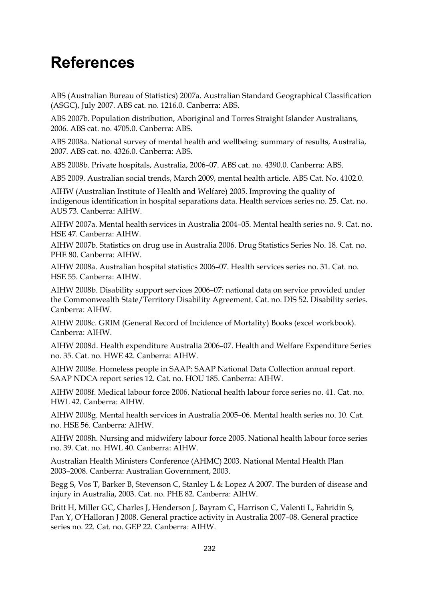# **References**

ABS (Australian Bureau of Statistics) 2007a. Australian Standard Geographical Classification (ASGC), July 2007. ABS cat. no. 1216.0. Canberra: ABS.

ABS 2007b. Population distribution, Aboriginal and Torres Straight Islander Australians, 2006. ABS cat. no. 4705.0. Canberra: ABS.

ABS 2008a. National survey of mental health and wellbeing: summary of results, Australia, 2007. ABS cat. no. 4326.0. Canberra: ABS.

ABS 2008b. Private hospitals, Australia, 2006–07. ABS cat. no. 4390.0. Canberra: ABS.

ABS 2009. Australian social trends, March 2009, mental health article. ABS Cat. No. 4102.0.

AIHW (Australian Institute of Health and Welfare) 2005. Improving the quality of indigenous identification in hospital separations data. Health services series no. 25. Cat. no. AUS 73. Canberra: AIHW.

AIHW 2007a. Mental health services in Australia 2004–05. Mental health series no. 9. Cat. no. HSE 47. Canberra: AIHW.

AIHW 2007b. Statistics on drug use in Australia 2006. Drug Statistics Series No. 18. Cat. no. PHE 80. Canberra: AIHW.

AIHW 2008a. Australian hospital statistics 2006–07. Health services series no. 31. Cat. no. HSE 55. Canberra: AIHW.

AIHW 2008b. Disability support services 2006–07: national data on service provided under the Commonwealth State/Territory Disability Agreement. Cat. no. DIS 52. Disability series. Canberra: AIHW.

AIHW 2008c. GRIM (General Record of Incidence of Mortality) Books (excel workbook). Canberra: AIHW.

AIHW 2008d. Health expenditure Australia 2006–07. Health and Welfare Expenditure Series no. 35. Cat. no. HWE 42. Canberra: AIHW.

AIHW 2008e. Homeless people in SAAP: SAAP National Data Collection annual report. SAAP NDCA report series 12. Cat. no. HOU 185. Canberra: AIHW.

AIHW 2008f. Medical labour force 2006. National health labour force series no. 41. Cat. no. HWL 42. Canberra: AIHW.

AIHW 2008g. Mental health services in Australia 2005–06. Mental health series no. 10. Cat. no. HSE 56. Canberra: AIHW.

AIHW 2008h. Nursing and midwifery labour force 2005. National health labour force series no. 39. Cat. no. HWL 40. Canberra: AIHW.

Australian Health Ministers Conference (AHMC) 2003. National Mental Health Plan 2003–2008. Canberra: Australian Government, 2003.

Begg S, Vos T, Barker B, Stevenson C, Stanley L & Lopez A 2007. The burden of disease and injury in Australia, 2003. Cat. no. PHE 82. Canberra: AIHW.

Britt H, Miller GC, Charles J, Henderson J, Bayram C, Harrison C, Valenti L, Fahridin S, Pan Y, O'Halloran J 2008. General practice activity in Australia 2007–08. General practice series no. 22. Cat. no. GEP 22. Canberra: AIHW.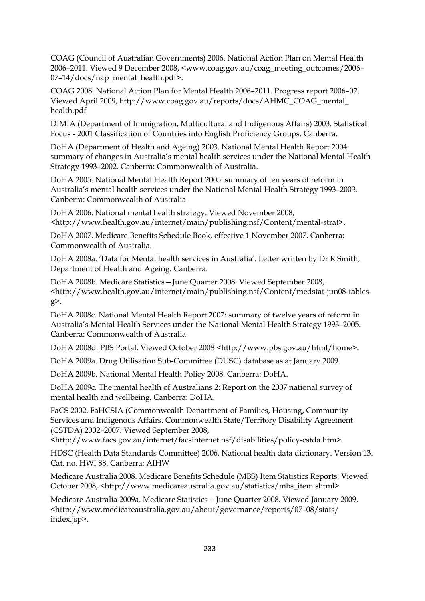COAG (Council of Australian Governments) 2006. National Action Plan on Mental Health 2006–2011. Viewed 9 December 2008, <www.coag.gov.au/coag\_meeting\_outcomes/2006–  $07-14/docs/nap$  mental health.pdf>.

COAG 2008. National Action Plan for Mental Health 2006–2011. Progress report 2006–07. Viewed April 2009, http://www.coag.gov.au/reports/docs/AHMC\_COAG\_mental\_ health.pdf

DIMIA (Department of Immigration, Multicultural and Indigenous Affairs) 2003. Statistical Focus - 2001 Classification of Countries into English Proficiency Groups. Canberra.

DoHA (Department of Health and Ageing) 2003. National Mental Health Report 2004: summary of changes in Australia's mental health services under the National Mental Health Strategy 1993–2002. Canberra: Commonwealth of Australia.

DoHA 2005. National Mental Health Report 2005: summary of ten years of reform in Australia's mental health services under the National Mental Health Strategy 1993–2003. Canberra: Commonwealth of Australia.

DoHA 2006. National mental health strategy. Viewed November 2008, <http://www.health.gov.au/internet/main/publishing.nsf/Content/mental-strat>.

DoHA 2007. Medicare Benefits Schedule Book, effective 1 November 2007. Canberra: Commonwealth of Australia.

DoHA 2008a. 'Data for Mental health services in Australia'. Letter written by Dr R Smith, Department of Health and Ageing. Canberra.

DoHA 2008b. Medicare Statistics—June Quarter 2008. Viewed September 2008, <http://www.health.gov.au/internet/main/publishing.nsf/Content/medstat-jun08-tablesg>.

DoHA 2008c. National Mental Health Report 2007: summary of twelve years of reform in Australia's Mental Health Services under the National Mental Health Strategy 1993–2005. Canberra: Commonwealth of Australia.

DoHA 2008d. PBS Portal. Viewed October 2008 <http://www.pbs.gov.au/html/home>.

DoHA 2009a. Drug Utilisation Sub-Committee (DUSC) database as at January 2009.

DoHA 2009b. National Mental Health Policy 2008. Canberra: DoHA.

DoHA 2009c. The mental health of Australians 2: Report on the 2007 national survey of mental health and wellbeing. Canberra: DoHA.

FaCS 2002. FaHCSIA (Commonwealth Department of Families, Housing, Community Services and Indigenous Affairs. Commonwealth State/Territory Disability Agreement (CSTDA) 2002–2007. Viewed September 2008,

<http://www.facs.gov.au/internet/facsinternet.nsf/disabilities/policy-cstda.htm>.

HDSC (Health Data Standards Committee) 2006. National health data dictionary. Version 13. Cat. no. HWI 88. Canberra: AIHW

Medicare Australia 2008. Medicare Benefits Schedule (MBS) Item Statistics Reports. Viewed October 2008, <http://www.medicareaustralia.gov.au/statistics/mbs\_item.shtml>

Medicare Australia 2009a. Medicare Statistics − June Quarter 2008. Viewed January 2009, <http://www.medicareaustralia.gov.au/about/governance/reports/07–08/stats/ index.jsp>.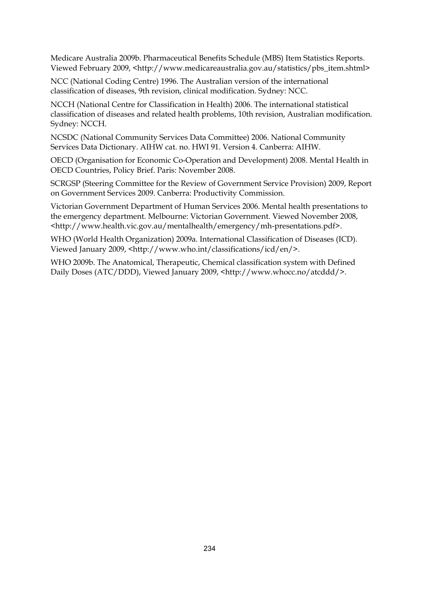Medicare Australia 2009b. Pharmaceutical Benefits Schedule (MBS) Item Statistics Reports. Viewed February 2009, <http://www.medicareaustralia.gov.au/statistics/pbs\_item.shtml>

NCC (National Coding Centre) 1996. The Australian version of the international classification of diseases, 9th revision, clinical modification. Sydney: NCC.

NCCH (National Centre for Classification in Health) 2006. The international statistical classification of diseases and related health problems, 10th revision, Australian modification. Sydney: NCCH.

NCSDC (National Community Services Data Committee) 2006. National Community Services Data Dictionary. AIHW cat. no. HWI 91. Version 4. Canberra: AIHW.

OECD (Organisation for Economic Co-Operation and Development) 2008. Mental Health in OECD Countries, Policy Brief. Paris: November 2008.

SCRGSP (Steering Committee for the Review of Government Service Provision) 2009, Report on Government Services 2009. Canberra: Productivity Commission.

Victorian Government Department of Human Services 2006. Mental health presentations to the emergency department. Melbourne: Victorian Government. Viewed November 2008, <http://www.health.vic.gov.au/mentalhealth/emergency/mh-presentations.pdf>.

WHO (World Health Organization) 2009a. International Classification of Diseases (ICD). Viewed January 2009, <http://www.who.int/classifications/icd/en/>.

WHO 2009b. The Anatomical, Therapeutic, Chemical classification system with Defined Daily Doses (ATC/DDD), Viewed January 2009, <http://www.whocc.no/atcddd/>.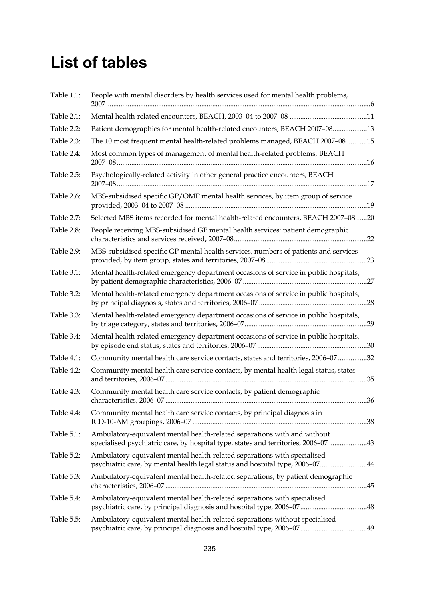# **List of tables**

| Table 1.1: | People with mental disorders by health services used for mental health problems,                                                                                |  |
|------------|-----------------------------------------------------------------------------------------------------------------------------------------------------------------|--|
| Table 2.1: |                                                                                                                                                                 |  |
| Table 2.2: | Patient demographics for mental health-related encounters, BEACH 2007-0813                                                                                      |  |
| Table 2.3: | The 10 most frequent mental health-related problems managed, BEACH 2007-08 15                                                                                   |  |
| Table 2.4: | Most common types of management of mental health-related problems, BEACH                                                                                        |  |
| Table 2.5: | Psychologically-related activity in other general practice encounters, BEACH                                                                                    |  |
| Table 2.6: | MBS-subsidised specific GP/OMP mental health services, by item group of service                                                                                 |  |
| Table 2.7: | Selected MBS items recorded for mental health-related encounters, BEACH 2007-08 20                                                                              |  |
| Table 2.8: | People receiving MBS-subsidised GP mental health services: patient demographic                                                                                  |  |
| Table 2.9: | MBS-subsidised specific GP mental health services, numbers of patients and services                                                                             |  |
| Table 3.1: | Mental health-related emergency department occasions of service in public hospitals,                                                                            |  |
| Table 3.2: | Mental health-related emergency department occasions of service in public hospitals,                                                                            |  |
| Table 3.3: | Mental health-related emergency department occasions of service in public hospitals,                                                                            |  |
| Table 3.4: | Mental health-related emergency department occasions of service in public hospitals,                                                                            |  |
| Table 4.1: | Community mental health care service contacts, states and territories, 2006-07 32                                                                               |  |
| Table 4.2: | Community mental health care service contacts, by mental health legal status, states                                                                            |  |
| Table 4.3: | Community mental health care service contacts, by patient demographic                                                                                           |  |
| Table 4.4: | Community mental health care service contacts, by principal diagnosis in                                                                                        |  |
| Table 5.1: | Ambulatory-equivalent mental health-related separations with and without<br>specialised psychiatric care, by hospital type, states and territories, 2006-07  43 |  |
| Table 5.2: | Ambulatory-equivalent mental health-related separations with specialised<br>psychiatric care, by mental health legal status and hospital type, 2006-0744        |  |
| Table 5.3: | Ambulatory-equivalent mental health-related separations, by patient demographic                                                                                 |  |
| Table 5.4: | Ambulatory-equivalent mental health-related separations with specialised<br>psychiatric care, by principal diagnosis and hospital type, 2006-0748               |  |
| Table 5.5: | Ambulatory-equivalent mental health-related separations without specialised                                                                                     |  |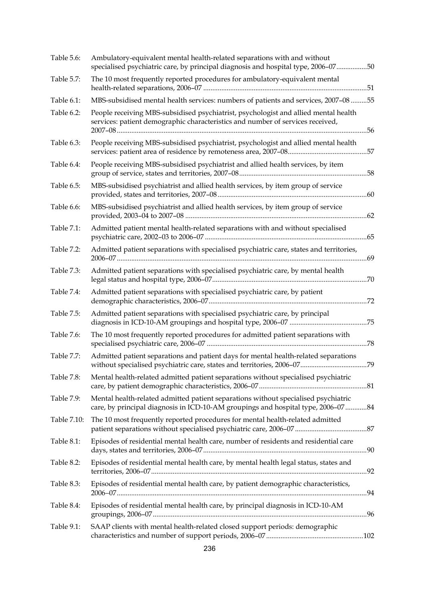| Table 5.6:  | Ambulatory-equivalent mental health-related separations with and without<br>specialised psychiatric care, by principal diagnosis and hospital type, 2006-0750           |  |
|-------------|-------------------------------------------------------------------------------------------------------------------------------------------------------------------------|--|
| Table 5.7:  | The 10 most frequently reported procedures for ambulatory-equivalent mental                                                                                             |  |
| Table 6.1:  | MBS-subsidised mental health services: numbers of patients and services, 2007-08 55                                                                                     |  |
| Table 6.2:  | People receiving MBS-subsidised psychiatrist, psychologist and allied mental health<br>services: patient demographic characteristics and number of services received,   |  |
| Table 6.3:  | People receiving MBS-subsidised psychiatrist, psychologist and allied mental health                                                                                     |  |
| Table 6.4:  | People receiving MBS-subsidised psychiatrist and allied health services, by item                                                                                        |  |
| Table 6.5:  | MBS-subsidised psychiatrist and allied health services, by item group of service                                                                                        |  |
| Table 6.6:  | MBS-subsidised psychiatrist and allied health services, by item group of service                                                                                        |  |
| Table 7.1:  | Admitted patient mental health-related separations with and without specialised                                                                                         |  |
| Table 7.2:  | Admitted patient separations with specialised psychiatric care, states and territories,                                                                                 |  |
| Table 7.3:  | Admitted patient separations with specialised psychiatric care, by mental health                                                                                        |  |
| Table 7.4:  | Admitted patient separations with specialised psychiatric care, by patient                                                                                              |  |
| Table 7.5:  | Admitted patient separations with specialised psychiatric care, by principal                                                                                            |  |
| Table 7.6:  | The 10 most frequently reported procedures for admitted patient separations with                                                                                        |  |
| Table 7.7:  | Admitted patient separations and patient days for mental health-related separations                                                                                     |  |
| Table 7.8:  | Mental health-related admitted patient separations without specialised psychiatric                                                                                      |  |
| Table 7.9:  | Mental health-related admitted patient separations without specialised psychiatric<br>care, by principal diagnosis in ICD-10-AM groupings and hospital type, 2006-07 84 |  |
| Table 7.10: | The 10 most frequently reported procedures for mental health-related admitted                                                                                           |  |
| Table 8.1:  | Episodes of residential mental health care, number of residents and residential care                                                                                    |  |
| Table 8.2:  | Episodes of residential mental health care, by mental health legal status, states and                                                                                   |  |
| Table 8.3:  | Episodes of residential mental health care, by patient demographic characteristics,                                                                                     |  |
| Table 8.4:  | Episodes of residential mental health care, by principal diagnosis in ICD-10-AM                                                                                         |  |
| Table 9.1:  | SAAP clients with mental health-related closed support periods: demographic                                                                                             |  |
|             |                                                                                                                                                                         |  |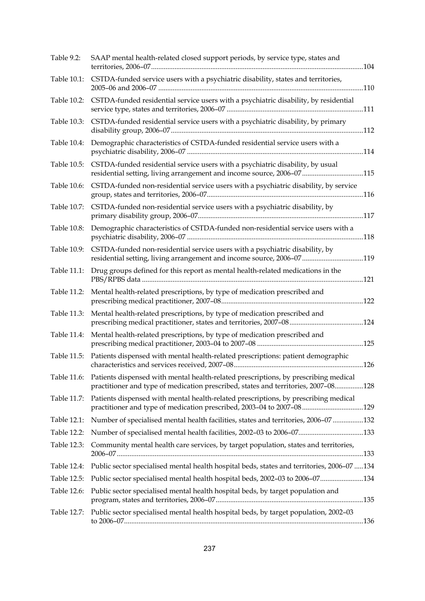| Table 9.2:  | SAAP mental health-related closed support periods, by service type, states and                                                                                            |  |
|-------------|---------------------------------------------------------------------------------------------------------------------------------------------------------------------------|--|
| Table 10.1: | CSTDA-funded service users with a psychiatric disability, states and territories,                                                                                         |  |
| Table 10.2: | CSTDA-funded residential service users with a psychiatric disability, by residential                                                                                      |  |
| Table 10.3: | CSTDA-funded residential service users with a psychiatric disability, by primary                                                                                          |  |
| Table 10.4: | Demographic characteristics of CSTDA-funded residential service users with a                                                                                              |  |
| Table 10.5: | CSTDA-funded residential service users with a psychiatric disability, by usual<br>residential setting, living arrangement and income source, 2006-07115                   |  |
| Table 10.6: | CSTDA-funded non-residential service users with a psychiatric disability, by service                                                                                      |  |
| Table 10.7: | CSTDA-funded non-residential service users with a psychiatric disability, by                                                                                              |  |
| Table 10.8: | Demographic characteristics of CSTDA-funded non-residential service users with a                                                                                          |  |
| Table 10.9: | CSTDA-funded non-residential service users with a psychiatric disability, by<br>residential setting, living arrangement and income source, 2006-07119                     |  |
| Table 11.1: | Drug groups defined for this report as mental health-related medications in the                                                                                           |  |
| Table 11.2: | Mental health-related prescriptions, by type of medication prescribed and                                                                                                 |  |
| Table 11.3: | Mental health-related prescriptions, by type of medication prescribed and                                                                                                 |  |
| Table 11.4: | Mental health-related prescriptions, by type of medication prescribed and                                                                                                 |  |
| Table 11.5: | Patients dispensed with mental health-related prescriptions: patient demographic                                                                                          |  |
| Table 11.6: | Patients dispensed with mental health-related prescriptions, by prescribing medical<br>practitioner and type of medication prescribed, states and territories, 2007-08128 |  |
| Table 11.7: | Patients dispensed with mental health-related prescriptions, by prescribing medical<br>practitioner and type of medication prescribed, 2003-04 to 2007-08129              |  |
| Table 12.1: | Number of specialised mental health facilities, states and territories, 2006-07 132                                                                                       |  |
| Table 12.2: |                                                                                                                                                                           |  |
| Table 12.3: | Community mental health care services, by target population, states and territories,                                                                                      |  |
| Table 12.4: | Public sector specialised mental health hospital beds, states and territories, 2006-07  134                                                                               |  |
| Table 12.5: | Public sector specialised mental health hospital beds, 2002-03 to 2006-07134                                                                                              |  |
| Table 12.6: | Public sector specialised mental health hospital beds, by target population and                                                                                           |  |
| Table 12.7: | Public sector specialised mental health hospital beds, by target population, 2002-03                                                                                      |  |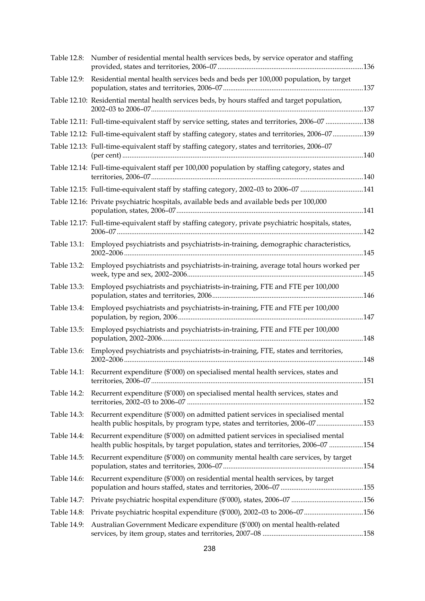| Table 12.8: | Number of residential mental health services beds, by service operator and staffing                                                                                     |  |
|-------------|-------------------------------------------------------------------------------------------------------------------------------------------------------------------------|--|
| Table 12.9: | Residential mental health services beds and beds per 100,000 population, by target                                                                                      |  |
|             | Table 12.10: Residential mental health services beds, by hours staffed and target population,                                                                           |  |
|             | Table 12.11: Full-time-equivalent staff by service setting, states and territories, 2006-07 138                                                                         |  |
|             | Table 12.12: Full-time-equivalent staff by staffing category, states and territories, 2006-07139                                                                        |  |
|             | Table 12.13: Full-time-equivalent staff by staffing category, states and territories, 2006-07                                                                           |  |
|             | Table 12.14: Full-time-equivalent staff per 100,000 population by staffing category, states and                                                                         |  |
|             | Table 12.15: Full-time-equivalent staff by staffing category, 2002-03 to 2006-07 141                                                                                    |  |
|             | Table 12.16: Private psychiatric hospitals, available beds and available beds per 100,000                                                                               |  |
|             | Table 12.17: Full-time-equivalent staff by staffing category, private psychiatric hospitals, states,                                                                    |  |
| Table 13.1: | Employed psychiatrists and psychiatrists-in-training, demographic characteristics,                                                                                      |  |
| Table 13.2: | Employed psychiatrists and psychiatrists-in-training, average total hours worked per                                                                                    |  |
| Table 13.3: | Employed psychiatrists and psychiatrists-in-training, FTE and FTE per 100,000                                                                                           |  |
| Table 13.4: | Employed psychiatrists and psychiatrists-in-training, FTE and FTE per 100,000                                                                                           |  |
| Table 13.5: | Employed psychiatrists and psychiatrists-in-training, FTE and FTE per 100,000                                                                                           |  |
| Table 13.6: | Employed psychiatrists and psychiatrists-in-training, FTE, states and territories,                                                                                      |  |
|             | Table 14.1: Recurrent expenditure (\$'000) on specialised mental health services, states and                                                                            |  |
| Table 14.2: | Recurrent expenditure (\$'000) on specialised mental health services, states and                                                                                        |  |
| Table 14.3: | Recurrent expenditure (\$'000) on admitted patient services in specialised mental<br>health public hospitals, by program type, states and territories, 2006-07153       |  |
| Table 14.4: | Recurrent expenditure (\$'000) on admitted patient services in specialised mental<br>health public hospitals, by target population, states and territories, 2006-07 154 |  |
| Table 14.5: | Recurrent expenditure (\$'000) on community mental health care services, by target                                                                                      |  |
| Table 14.6: | Recurrent expenditure (\$'000) on residential mental health services, by target                                                                                         |  |
| Table 14.7: |                                                                                                                                                                         |  |
| Table 14.8: | Private psychiatric hospital expenditure (\$'000), 2002-03 to 2006-07156                                                                                                |  |
| Table 14.9: | Australian Government Medicare expenditure (\$'000) on mental health-related                                                                                            |  |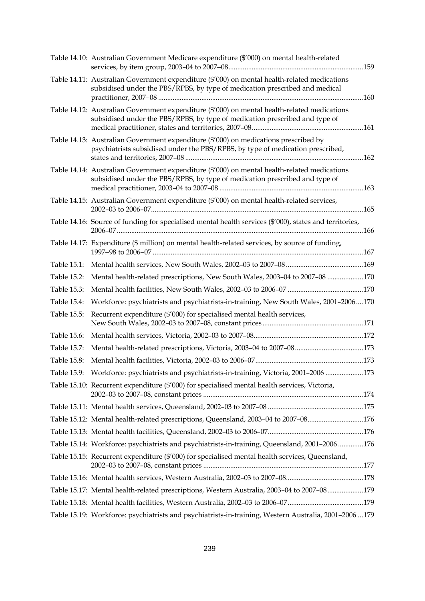|             | Table 14.10: Australian Government Medicare expenditure (\$'000) on mental health-related                                                                                   |  |
|-------------|-----------------------------------------------------------------------------------------------------------------------------------------------------------------------------|--|
|             | Table 14.11: Australian Government expenditure (\$'000) on mental health-related medications<br>subsidised under the PBS/RPBS, by type of medication prescribed and medical |  |
|             | Table 14.12: Australian Government expenditure (\$'000) on mental health-related medications<br>subsidised under the PBS/RPBS, by type of medication prescribed and type of |  |
|             | Table 14.13: Australian Government expenditure (\$'000) on medications prescribed by<br>psychiatrists subsidised under the PBS/RPBS, by type of medication prescribed,      |  |
|             | Table 14.14: Australian Government expenditure (\$'000) on mental health-related medications<br>subsidised under the PBS/RPBS, by type of medication prescribed and type of |  |
|             | Table 14.15: Australian Government expenditure (\$'000) on mental health-related services,                                                                                  |  |
|             | Table 14.16: Source of funding for specialised mental health services (\$'000), states and territories,                                                                     |  |
|             | Table 14.17: Expenditure (\$ million) on mental health-related services, by source of funding,                                                                              |  |
| Table 15.1: |                                                                                                                                                                             |  |
| Table 15.2: | Mental health-related prescriptions, New South Wales, 2003-04 to 2007-08 170                                                                                                |  |
| Table 15.3: |                                                                                                                                                                             |  |
| Table 15.4: | Workforce: psychiatrists and psychiatrists-in-training, New South Wales, 2001-2006170                                                                                       |  |
| Table 15.5: | Recurrent expenditure (\$'000) for specialised mental health services,                                                                                                      |  |
| Table 15.6: |                                                                                                                                                                             |  |
| Table 15.7: |                                                                                                                                                                             |  |
| Table 15.8: |                                                                                                                                                                             |  |
|             | Table 15.9: Workforce: psychiatrists and psychiatrists-in-training, Victoria, 2001-2006 173                                                                                 |  |
|             | Table 15.10: Recurrent expenditure (\$'000) for specialised mental health services, Victoria,                                                                               |  |
|             |                                                                                                                                                                             |  |
|             | Table 15.12: Mental health-related prescriptions, Queensland, 2003-04 to 2007-08176                                                                                         |  |
|             |                                                                                                                                                                             |  |
|             | Table 15.14: Workforce: psychiatrists and psychiatrists-in-training, Queensland, 2001-2006 176                                                                              |  |
|             | Table 15.15: Recurrent expenditure (\$'000) for specialised mental health services, Queensland,                                                                             |  |
|             |                                                                                                                                                                             |  |
|             | Table 15.17: Mental health-related prescriptions, Western Australia, 2003-04 to 2007-08179                                                                                  |  |
|             |                                                                                                                                                                             |  |
|             | Table 15.19: Workforce: psychiatrists and psychiatrists-in-training, Western Australia, 2001-2006  179                                                                      |  |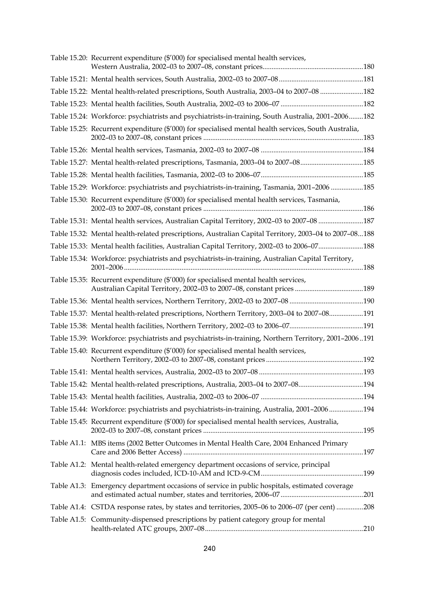| Table 15.20: Recurrent expenditure (\$'000) for specialised mental health services,                   |  |
|-------------------------------------------------------------------------------------------------------|--|
|                                                                                                       |  |
| Table 15.22: Mental health-related prescriptions, South Australia, 2003-04 to 2007-08 182             |  |
|                                                                                                       |  |
| Table 15.24: Workforce: psychiatrists and psychiatrists-in-training, South Australia, 2001-2006182    |  |
| Table 15.25: Recurrent expenditure (\$'000) for specialised mental health services, South Australia,  |  |
|                                                                                                       |  |
| Table 15.27: Mental health-related prescriptions, Tasmania, 2003-04 to 2007-08185                     |  |
|                                                                                                       |  |
| Table 15.29: Workforce: psychiatrists and psychiatrists-in-training, Tasmania, 2001-2006 185          |  |
| Table 15.30: Recurrent expenditure (\$'000) for specialised mental health services, Tasmania,         |  |
| Table 15.31: Mental health services, Australian Capital Territory, 2002-03 to 2007-08 187             |  |
| Table 15.32: Mental health-related prescriptions, Australian Capital Territory, 2003-04 to 2007-08188 |  |
| Table 15.33: Mental health facilities, Australian Capital Territory, 2002-03 to 2006-07188            |  |
| Table 15.34: Workforce: psychiatrists and psychiatrists-in-training, Australian Capital Territory,    |  |
| Table 15.35: Recurrent expenditure (\$'000) for specialised mental health services,                   |  |
|                                                                                                       |  |
| Table 15.37: Mental health-related prescriptions, Northern Territory, 2003-04 to 2007-08191           |  |
|                                                                                                       |  |
| Table 15.39: Workforce: psychiatrists and psychiatrists-in-training, Northern Territory, 2001-2006191 |  |
| Table 15.40: Recurrent expenditure (\$'000) for specialised mental health services,                   |  |
|                                                                                                       |  |
| Table 15.42: Mental health-related prescriptions, Australia, 2003-04 to 2007-08194                    |  |
|                                                                                                       |  |
| Table 15.44: Workforce: psychiatrists and psychiatrists-in-training, Australia, 2001-2006194          |  |
| Table 15.45: Recurrent expenditure (\$'000) for specialised mental health services, Australia,        |  |
| Table A1.1: MBS items (2002 Better Outcomes in Mental Health Care, 2004 Enhanced Primary              |  |
| Table A1.2: Mental health-related emergency department occasions of service, principal                |  |
| Table A1.3: Emergency department occasions of service in public hospitals, estimated coverage         |  |
| Table A1.4: CSTDA response rates, by states and territories, 2005-06 to 2006-07 (per cent) 208        |  |
| Table A1.5: Community-dispensed prescriptions by patient category group for mental                    |  |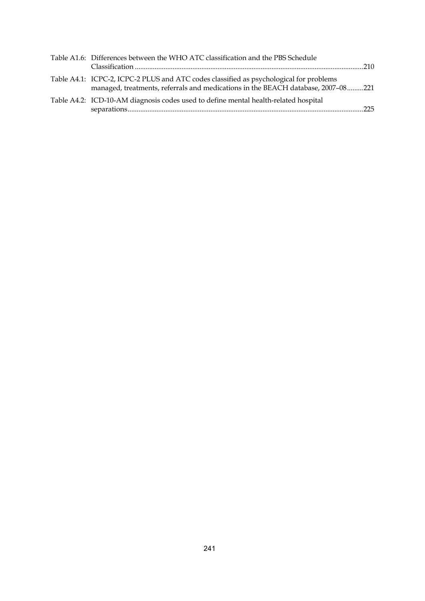| Table A1.6: Differences between the WHO ATC classification and the PBS Schedule                                                                                            |  |
|----------------------------------------------------------------------------------------------------------------------------------------------------------------------------|--|
| Table A4.1: ICPC-2, ICPC-2 PLUS and ATC codes classified as psychological for problems<br>managed, treatments, referrals and medications in the BEACH database, 2007-08221 |  |
| Table A4.2: ICD-10-AM diagnosis codes used to define mental health-related hospital                                                                                        |  |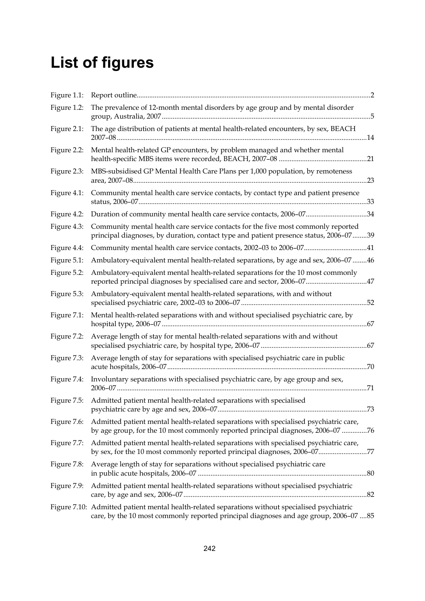# **List of figures**

| Figure 1.1: |                                                                                                                                                                                         |  |
|-------------|-----------------------------------------------------------------------------------------------------------------------------------------------------------------------------------------|--|
| Figure 1.2: | The prevalence of 12-month mental disorders by age group and by mental disorder                                                                                                         |  |
| Figure 2.1: | The age distribution of patients at mental health-related encounters, by sex, BEACH                                                                                                     |  |
| Figure 2.2: | Mental health-related GP encounters, by problem managed and whether mental                                                                                                              |  |
| Figure 2.3: | MBS-subsidised GP Mental Health Care Plans per 1,000 population, by remoteness                                                                                                          |  |
| Figure 4.1: | Community mental health care service contacts, by contact type and patient presence                                                                                                     |  |
| Figure 4.2: | Duration of community mental health care service contacts, 2006-0734                                                                                                                    |  |
| Figure 4.3: | Community mental health care service contacts for the five most commonly reported<br>principal diagnoses, by duration, contact type and patient presence status, 2006-0739              |  |
| Figure 4.4: |                                                                                                                                                                                         |  |
| Figure 5.1: | Ambulatory-equivalent mental health-related separations, by age and sex, 2006-07 46                                                                                                     |  |
| Figure 5.2: | Ambulatory-equivalent mental health-related separations for the 10 most commonly<br>reported principal diagnoses by specialised care and sector, 2006-0747                              |  |
| Figure 5.3: | Ambulatory-equivalent mental health-related separations, with and without                                                                                                               |  |
| Figure 7.1: | Mental health-related separations with and without specialised psychiatric care, by                                                                                                     |  |
| Figure 7.2: | Average length of stay for mental health-related separations with and without                                                                                                           |  |
| Figure 7.3: | Average length of stay for separations with specialised psychiatric care in public                                                                                                      |  |
| Figure 7.4: | Involuntary separations with specialised psychiatric care, by age group and sex,                                                                                                        |  |
| Figure 7.5: | Admitted patient mental health-related separations with specialised                                                                                                                     |  |
| Figure 7.6: | Admitted patient mental health-related separations with specialised psychiatric care,<br>by age group, for the 10 most commonly reported principal diagnoses, 2006–07 76                |  |
| Figure 7.7: | Admitted patient mental health-related separations with specialised psychiatric care,<br>by sex, for the 10 most commonly reported principal diagnoses, 2006-0777                       |  |
| Figure 7.8: | Average length of stay for separations without specialised psychiatric care                                                                                                             |  |
| Figure 7.9: | Admitted patient mental health-related separations without specialised psychiatric                                                                                                      |  |
|             | Figure 7.10: Admitted patient mental health-related separations without specialised psychiatric<br>care, by the 10 most commonly reported principal diagnoses and age group, 2006-07 85 |  |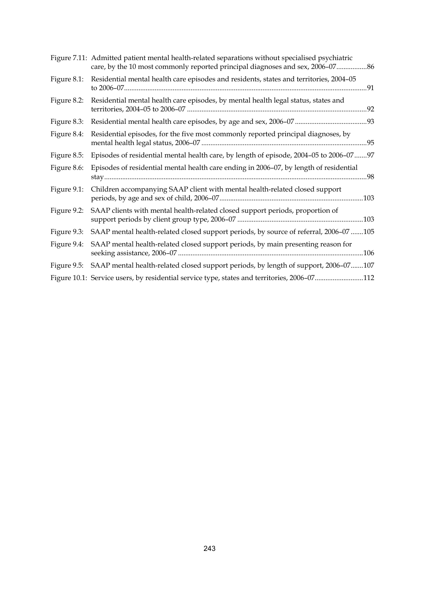|             | Figure 7.11: Admitted patient mental health-related separations without specialised psychiatric<br>care, by the 10 most commonly reported principal diagnoses and sex, 2006-07 86 |
|-------------|-----------------------------------------------------------------------------------------------------------------------------------------------------------------------------------|
| Figure 8.1: | Residential mental health care episodes and residents, states and territories, 2004-05                                                                                            |
| Figure 8.2: | Residential mental health care episodes, by mental health legal status, states and                                                                                                |
| Figure 8.3: |                                                                                                                                                                                   |
| Figure 8.4: | Residential episodes, for the five most commonly reported principal diagnoses, by<br>.95                                                                                          |
| Figure 8.5: | Episodes of residential mental health care, by length of episode, 2004-05 to 2006-07 97                                                                                           |
| Figure 8.6: | Episodes of residential mental health care ending in 2006-07, by length of residential                                                                                            |
| Figure 9.1: | Children accompanying SAAP client with mental health-related closed support                                                                                                       |
| Figure 9.2: | SAAP clients with mental health-related closed support periods, proportion of                                                                                                     |
| Figure 9.3: | SAAP mental health-related closed support periods, by source of referral, 2006-07 105                                                                                             |
| Figure 9.4: | SAAP mental health-related closed support periods, by main presenting reason for                                                                                                  |
| Figure 9.5: | SAAP mental health-related closed support periods, by length of support, 2006-07107                                                                                               |
|             | Figure 10.1: Service users, by residential service type, states and territories, 2006-07112                                                                                       |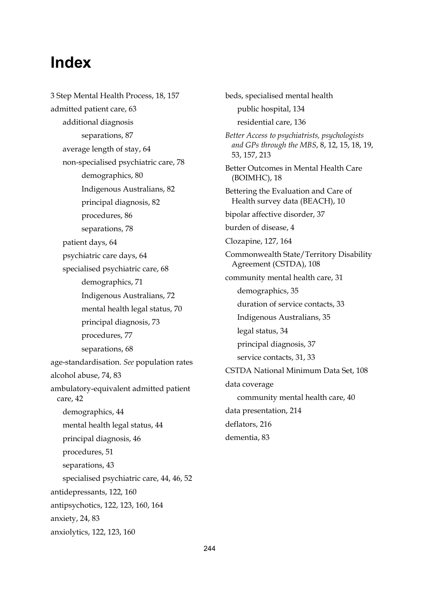# **Index**

3 Step Mental Health Process, 18, 157 admitted patient care, 63 additional diagnosis separations, 87 average length of stay, 64 non-specialised psychiatric care, 78 demographics, 80 Indigenous Australians, 82 principal diagnosis, 82 procedures, 86 separations, 78 patient days, 64 psychiatric care days, 64 specialised psychiatric care, 68 demographics, 71 Indigenous Australians, 72 mental health legal status, 70 principal diagnosis, 73 procedures, 77 separations, 68 age-standardisation. *See* population rates alcohol abuse, 74, 83 ambulatory-equivalent admitted patient care, 42 demographics, 44 mental health legal status, 44 principal diagnosis, 46 procedures, 51 separations, 43 specialised psychiatric care, 44, 46, 52 antidepressants, 122, 160 antipsychotics, 122, 123, 160, 164 anxiety, 24, 83 anxiolytics, 122, 123, 160

beds, specialised mental health public hospital, 134 residential care, 136 *Better Access to psychiatrists, psychologists and GPs through the MBS*, 8, 12, 15, 18, 19, 53, 157, 213 Better Outcomes in Mental Health Care (BOIMHC), 18 Bettering the Evaluation and Care of Health survey data (BEACH), 10 bipolar affective disorder, 37 burden of disease, 4 Clozapine, 127, 164 Commonwealth State/Territory Disability Agreement (CSTDA), 108 community mental health care, 31 demographics, 35 duration of service contacts, 33 Indigenous Australians, 35 legal status, 34 principal diagnosis, 37 service contacts, 31, 33 CSTDA National Minimum Data Set, 108 data coverage community mental health care, 40 data presentation, 214 deflators, 216 dementia, 83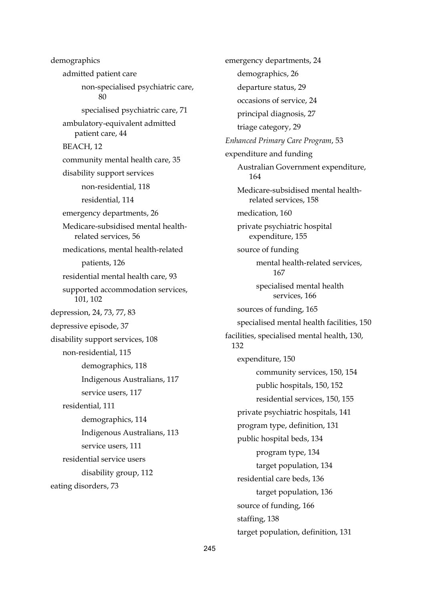demographics admitted patient care non-specialised psychiatric care,  $80$ specialised psychiatric care, 71 ambulatory-equivalent admitted patient care, 44 BEACH, 12 community mental health care, 35 disability support services non-residential, 118 residential, 114 emergency departments, 26 Medicare-subsidised mental healthrelated services, 56 medications, mental health-related patients, 126 residential mental health care, 93 supported accommodation services, 101, 102 depression, 24, 73, 77, 83 depressive episode, 37 disability support services, 108 non-residential, 115 demographics, 118 Indigenous Australians, 117 service users, 117 residential, 111 demographics, 114 Indigenous Australians, 113 service users, 111 residential service users disability group, 112 eating disorders, 73

emergency departments, 24 demographics, 26 departure status, 29 occasions of service, 24 principal diagnosis, 27 triage category, 29 *Enhanced Primary Care Program*, 53 expenditure and funding Australian Government expenditure, 164 Medicare-subsidised mental healthrelated services, 158 medication, 160 private psychiatric hospital expenditure, 155 source of funding mental health-related services, 167 specialised mental health services, 166 sources of funding, 165 specialised mental health facilities, 150 facilities, specialised mental health, 130, 132 expenditure, 150 community services, 150, 154 public hospitals, 150, 152 residential services, 150, 155 private psychiatric hospitals, 141 program type, definition, 131 public hospital beds, 134 program type, 134 target population, 134 residential care beds, 136 target population, 136 source of funding, 166 staffing, 138 target population, definition, 131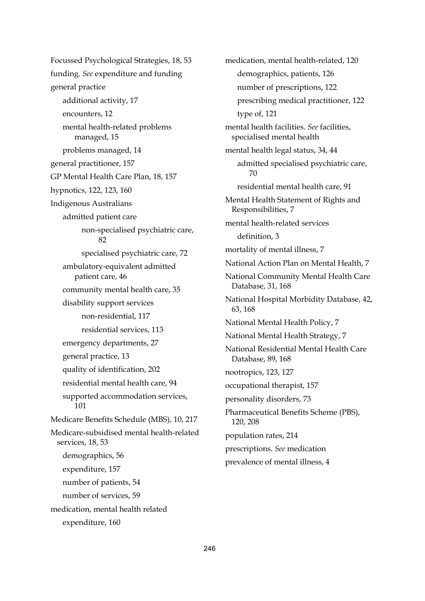Focussed Psychological Strategies, 18, 53 funding. *See* expenditure and funding general practice additional activity, 17 encounters, 12 mental health-related problems managed, 15 problems managed, 14 general practitioner, 157 GP Mental Health Care Plan, 18, 157 hypnotics, 122, 123, 160 Indigenous Australians admitted patient care non-specialised psychiatric care, 82 specialised psychiatric care, 72 ambulatory-equivalent admitted patient care, 46 community mental health care, 35 disability support services non-residential, 117 residential services, 113 emergency departments, 27 general practice, 13 quality of identification, 202 residential mental health care, 94 supported accommodation services, 101 Medicare Benefits Schedule (MBS), 10, 217 Medicare-subsidised mental health-related services, 18, 53 demographics, 56 expenditure, 157 number of patients, 54 number of services, 59 medication, mental health related expenditure, 160

medication, mental health-related, 120 demographics, patients, 126 number of prescriptions, 122 prescribing medical practitioner, 122 type of, 121 mental health facilities. *See* facilities, specialised mental health mental health legal status, 34, 44 admitted specialised psychiatric care, 70 residential mental health care, 91 Mental Health Statement of Rights and Responsibilities, 7 mental health-related services definition, 3 mortality of mental illness, 7 National Action Plan on Mental Health, 7 National Community Mental Health Care Database, 31, 168 National Hospital Morbidity Database, 42, 63, 168 National Mental Health Policy, 7 National Mental Health Strategy, 7 National Residential Mental Health Care Database, 89, 168 nootropics, 123, 127 occupational therapist, 157 personality disorders, 73 Pharmaceutical Benefits Scheme (PBS), 120, 208 population rates, 214 prescriptions. *See* medication prevalence of mental illness, 4